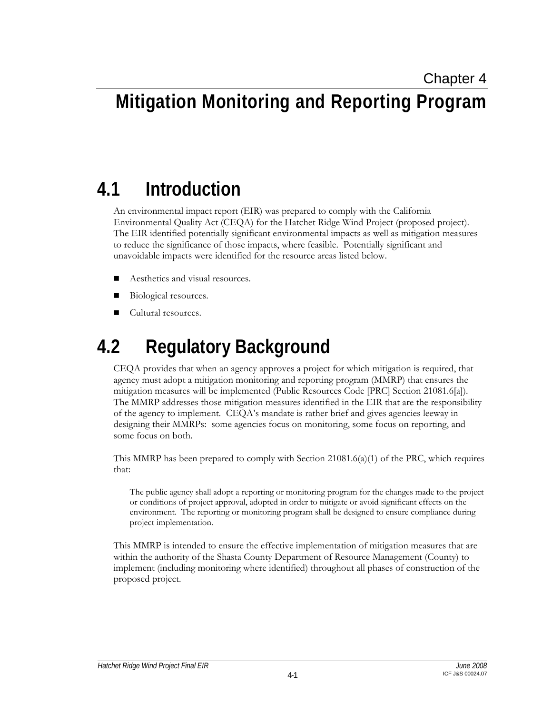# **Mitigation Monitoring and Reporting Program**

## **4.1 Introduction**

An environmental impact report (EIR) was prepared to comply with the California Environmental Quality Act (CEQA) for the Hatchet Ridge Wind Project (proposed project). The EIR identified potentially significant environmental impacts as well as mitigation measures to reduce the significance of those impacts, where feasible. Potentially significant and unavoidable impacts were identified for the resource areas listed below.

- Aesthetics and visual resources.
- Biological resources.
- Cultural resources.

## **4.2 Regulatory Background**

CEQA provides that when an agency approves a project for which mitigation is required, that agency must adopt a mitigation monitoring and reporting program (MMRP) that ensures the mitigation measures will be implemented (Public Resources Code [PRC] Section 21081.6[a]). The MMRP addresses those mitigation measures identified in the EIR that are the responsibility of the agency to implement. CEQA's mandate is rather brief and gives agencies leeway in designing their MMRPs: some agencies focus on monitoring, some focus on reporting, and some focus on both.

This MMRP has been prepared to comply with Section  $21081.6(a)(1)$  of the PRC, which requires that:

The public agency shall adopt a reporting or monitoring program for the changes made to the project or conditions of project approval, adopted in order to mitigate or avoid significant effects on the environment. The reporting or monitoring program shall be designed to ensure compliance during project implementation.

This MMRP is intended to ensure the effective implementation of mitigation measures that are within the authority of the Shasta County Department of Resource Management (County) to implement (including monitoring where identified) throughout all phases of construction of the proposed project.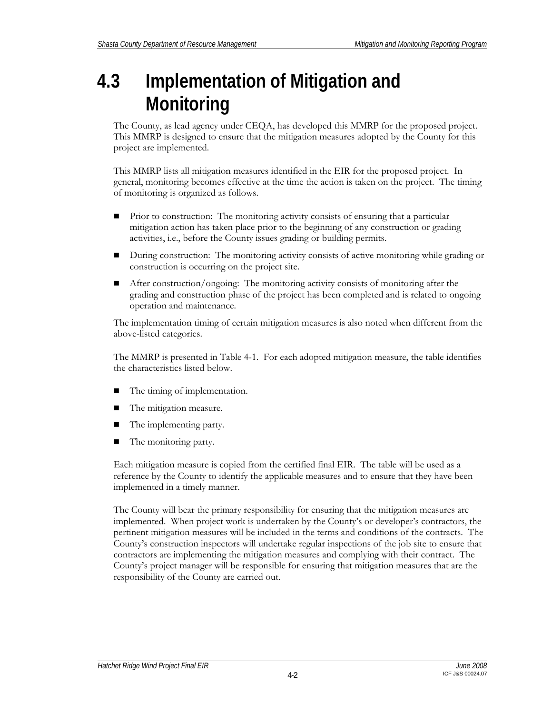## **4.3 Implementation of Mitigation and Monitoring**

The County, as lead agency under CEQA, has developed this MMRP for the proposed project. This MMRP is designed to ensure that the mitigation measures adopted by the County for this project are implemented.

This MMRP lists all mitigation measures identified in the EIR for the proposed project. In general, monitoring becomes effective at the time the action is taken on the project. The timing of monitoring is organized as follows.

- Prior to construction: The monitoring activity consists of ensuring that a particular mitigation action has taken place prior to the beginning of any construction or grading activities, i.e., before the County issues grading or building permits.
- During construction: The monitoring activity consists of active monitoring while grading or construction is occurring on the project site.
- After construction/ongoing: The monitoring activity consists of monitoring after the grading and construction phase of the project has been completed and is related to ongoing operation and maintenance.

The implementation timing of certain mitigation measures is also noted when different from the above-listed categories.

The MMRP is presented in Table 4-1. For each adopted mitigation measure, the table identifies the characteristics listed below.

- The timing of implementation.
- The mitigation measure.
- The implementing party.
- The monitoring party.

Each mitigation measure is copied from the certified final EIR. The table will be used as a reference by the County to identify the applicable measures and to ensure that they have been implemented in a timely manner.

The County will bear the primary responsibility for ensuring that the mitigation measures are implemented. When project work is undertaken by the County's or developer's contractors, the pertinent mitigation measures will be included in the terms and conditions of the contracts. The County's construction inspectors will undertake regular inspections of the job site to ensure that contractors are implementing the mitigation measures and complying with their contract. The County's project manager will be responsible for ensuring that mitigation measures that are the responsibility of the County are carried out.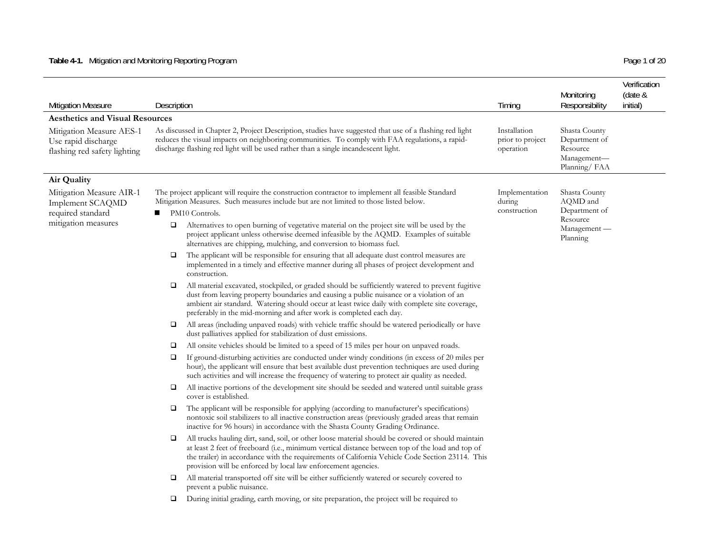### **Table 4-1.** Mitigation and Monitoring Reporting Program Page 1 of 20

| <b>Mitigation Measure</b>                                                                | Description                                                                                                                                                                                                                                                                                                                                                                                                                                                                                                                                                                                                                                                                             | Timing                                        | Monitoring<br>Responsibility                                                       | Verification<br>(date &<br>initial) |
|------------------------------------------------------------------------------------------|-----------------------------------------------------------------------------------------------------------------------------------------------------------------------------------------------------------------------------------------------------------------------------------------------------------------------------------------------------------------------------------------------------------------------------------------------------------------------------------------------------------------------------------------------------------------------------------------------------------------------------------------------------------------------------------------|-----------------------------------------------|------------------------------------------------------------------------------------|-------------------------------------|
| <b>Aesthetics and Visual Resources</b>                                                   |                                                                                                                                                                                                                                                                                                                                                                                                                                                                                                                                                                                                                                                                                         |                                               |                                                                                    |                                     |
| Mitigation Measure AES-1<br>Use rapid discharge<br>flashing red safety lighting          | As discussed in Chapter 2, Project Description, studies have suggested that use of a flashing red light<br>reduces the visual impacts on neighboring communities. To comply with FAA regulations, a rapid-<br>discharge flashing red light will be used rather than a single incandescent light.                                                                                                                                                                                                                                                                                                                                                                                        | Installation<br>prior to project<br>operation | Shasta County<br>Department of<br>Resource<br>Management-<br>Planning/FAA          |                                     |
| Air Quality                                                                              |                                                                                                                                                                                                                                                                                                                                                                                                                                                                                                                                                                                                                                                                                         |                                               |                                                                                    |                                     |
| Mitigation Measure AIR-1<br>Implement SCAQMD<br>required standard<br>mitigation measures | The project applicant will require the construction contractor to implement all feasible Standard<br>Mitigation Measures. Such measures include but are not limited to those listed below.<br>PM10 Controls.<br>■<br>Alternatives to open burning of vegetative material on the project site will be used by the<br>□<br>project applicant unless otherwise deemed infeasible by the AQMD. Examples of suitable<br>alternatives are chipping, mulching, and conversion to biomass fuel.<br>The applicant will be responsible for ensuring that all adequate dust control measures are<br>❏<br>implemented in a timely and effective manner during all phases of project development and | Implementation<br>during<br>construction      | Shasta County<br>AQMD and<br>Department of<br>Resource<br>Management —<br>Planning |                                     |
|                                                                                          | construction.<br>All material excavated, stockpiled, or graded should be sufficiently watered to prevent fugitive<br>□<br>dust from leaving property boundaries and causing a public nuisance or a violation of an<br>ambient air standard. Watering should occur at least twice daily with complete site coverage,                                                                                                                                                                                                                                                                                                                                                                     |                                               |                                                                                    |                                     |

- All areas (including unpaved roads) with vehicle traffic should be watered periodically or have dust palliatives applied for stabilization of dust emissions.
- $\Box$ All onsite vehicles should be limited to a speed of 15 miles per hour on unpaved roads.

preferably in the mid-morning and after work is completed each day.

- $\Box$  If ground-disturbing activities are conducted under windy conditions (in excess of 20 miles per hour), the applicant will ensure that best available dust prevention techniques are used during such activities and will increase the frequency of watering to protect air quality as needed.
- All inactive portions of the development site should be seeded and watered until suitable grass cover is established.
- The applicant will be responsible for applying (according to manufacturer's specifications) nontoxic soil stabilizers to all inactive construction areas (previously graded areas that remain inactive for 96 hours) in accordance with the Shasta County Grading Ordinance.
- All trucks hauling dirt, sand, soil, or other loose material should be covered or should maintain at least 2 feet of freeboard (i.e., minimum vertical distance between top of the load and top of the trailer) in accordance with the requirements of California Vehicle Code Section 23114. This provision will be enforced by local law enforcement agencies.
- $\Box$  All material transported off site will be either sufficiently watered or securely covered to prevent a public nuisance.
- $\Box$ During initial grading, earth moving, or site preparation, the project will be required to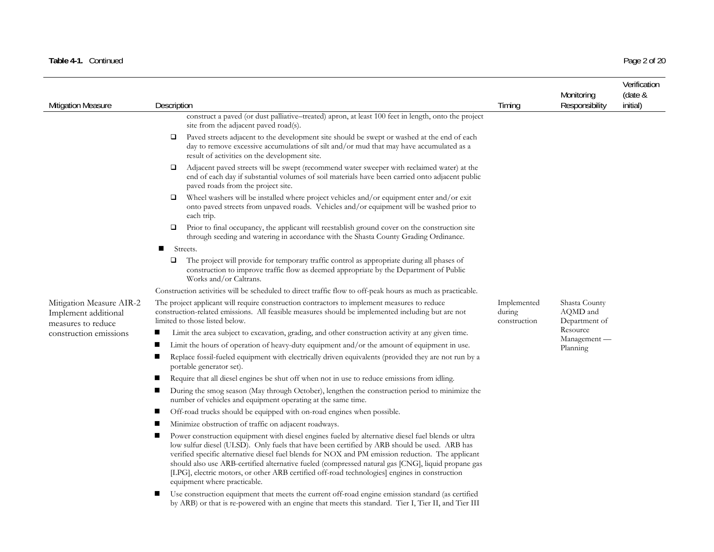### Table 4-1. Continued Page 2 of 20

| <b>Mitigation Measure</b>                                              | Description                                                                                                                                                                                                                                                                                                                                                                                                                                                                                                                                    | Timing                                | Monitoring<br>Responsibility               | Verification<br>(date &<br>initial) |
|------------------------------------------------------------------------|------------------------------------------------------------------------------------------------------------------------------------------------------------------------------------------------------------------------------------------------------------------------------------------------------------------------------------------------------------------------------------------------------------------------------------------------------------------------------------------------------------------------------------------------|---------------------------------------|--------------------------------------------|-------------------------------------|
|                                                                        | construct a paved (or dust palliative–treated) apron, at least 100 feet in length, onto the project<br>site from the adjacent paved road(s).                                                                                                                                                                                                                                                                                                                                                                                                   |                                       |                                            |                                     |
|                                                                        | Paved streets adjacent to the development site should be swept or washed at the end of each<br>$\Box$<br>day to remove excessive accumulations of silt and/or mud that may have accumulated as a<br>result of activities on the development site.                                                                                                                                                                                                                                                                                              |                                       |                                            |                                     |
|                                                                        | Adjacent paved streets will be swept (recommend water sweeper with reclaimed water) at the<br>$\Box$<br>end of each day if substantial volumes of soil materials have been carried onto adjacent public<br>paved roads from the project site.                                                                                                                                                                                                                                                                                                  |                                       |                                            |                                     |
|                                                                        | Wheel washers will be installed where project vehicles and/or equipment enter and/or exit<br>□<br>onto paved streets from unpaved roads. Vehicles and/or equipment will be washed prior to<br>each trip.                                                                                                                                                                                                                                                                                                                                       |                                       |                                            |                                     |
|                                                                        | Prior to final occupancy, the applicant will reestablish ground cover on the construction site<br>□<br>through seeding and watering in accordance with the Shasta County Grading Ordinance.                                                                                                                                                                                                                                                                                                                                                    |                                       |                                            |                                     |
|                                                                        | Streets.<br>$\blacksquare$                                                                                                                                                                                                                                                                                                                                                                                                                                                                                                                     |                                       |                                            |                                     |
|                                                                        | $\Box$<br>The project will provide for temporary traffic control as appropriate during all phases of<br>construction to improve traffic flow as deemed appropriate by the Department of Public<br>Works and/or Caltrans.                                                                                                                                                                                                                                                                                                                       |                                       |                                            |                                     |
|                                                                        | Construction activities will be scheduled to direct traffic flow to off-peak hours as much as practicable.                                                                                                                                                                                                                                                                                                                                                                                                                                     |                                       |                                            |                                     |
| Mitigation Measure AIR-2<br>Implement additional<br>measures to reduce | The project applicant will require construction contractors to implement measures to reduce<br>construction-related emissions. All feasible measures should be implemented including but are not<br>limited to those listed below.                                                                                                                                                                                                                                                                                                             | Implemented<br>during<br>construction | Shasta County<br>AQMD and<br>Department of |                                     |
| construction emissions                                                 | Limit the area subject to excavation, grading, and other construction activity at any given time.                                                                                                                                                                                                                                                                                                                                                                                                                                              |                                       | Resource                                   |                                     |
|                                                                        | Limit the hours of operation of heavy-duty equipment and/or the amount of equipment in use.                                                                                                                                                                                                                                                                                                                                                                                                                                                    |                                       | Management -<br>Planning                   |                                     |
|                                                                        | Replace fossil-fueled equipment with electrically driven equivalents (provided they are not run by a<br>portable generator set).                                                                                                                                                                                                                                                                                                                                                                                                               |                                       |                                            |                                     |
|                                                                        | Require that all diesel engines be shut off when not in use to reduce emissions from idling.                                                                                                                                                                                                                                                                                                                                                                                                                                                   |                                       |                                            |                                     |
|                                                                        | During the smog season (May through October), lengthen the construction period to minimize the<br>number of vehicles and equipment operating at the same time.                                                                                                                                                                                                                                                                                                                                                                                 |                                       |                                            |                                     |
|                                                                        | Off-road trucks should be equipped with on-road engines when possible.                                                                                                                                                                                                                                                                                                                                                                                                                                                                         |                                       |                                            |                                     |
|                                                                        | Minimize obstruction of traffic on adjacent roadways.                                                                                                                                                                                                                                                                                                                                                                                                                                                                                          |                                       |                                            |                                     |
|                                                                        | Power construction equipment with diesel engines fueled by alternative diesel fuel blends or ultra<br>low sulfur diesel (ULSD). Only fuels that have been certified by ARB should be used. ARB has<br>verified specific alternative diesel fuel blends for NOX and PM emission reduction. The applicant<br>should also use ARB-certified alternative fueled (compressed natural gas [CNG], liquid propane gas<br>[LPG], electric motors, or other ARB certified off-road technologies] engines in construction<br>equipment where practicable. |                                       |                                            |                                     |
|                                                                        | Use construction equipment that meets the current off-road engine emission standard (as certified<br>by ARB) or that is re-powered with an engine that meets this standard. Tier I, Tier II, and Tier III                                                                                                                                                                                                                                                                                                                                      |                                       |                                            |                                     |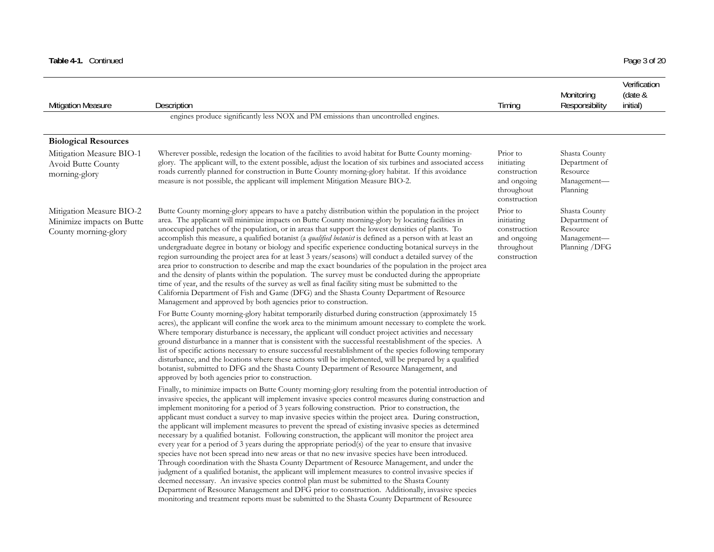### Table 4-1. Continued Page 3 of 20

| <b>Mitigation Measure</b>                                                     | Description                                                                                                                                                                                                                                                                                                                                                                                                                                                                                                                                                                                                                                                                                                                                                                                                                                                                                                                                                                                                                                                                                                                                                                                                                                                                                                                                                                     | Timing                                                                              | Monitoring<br>Responsibility                                                | Verification<br>(date &<br>initial) |
|-------------------------------------------------------------------------------|---------------------------------------------------------------------------------------------------------------------------------------------------------------------------------------------------------------------------------------------------------------------------------------------------------------------------------------------------------------------------------------------------------------------------------------------------------------------------------------------------------------------------------------------------------------------------------------------------------------------------------------------------------------------------------------------------------------------------------------------------------------------------------------------------------------------------------------------------------------------------------------------------------------------------------------------------------------------------------------------------------------------------------------------------------------------------------------------------------------------------------------------------------------------------------------------------------------------------------------------------------------------------------------------------------------------------------------------------------------------------------|-------------------------------------------------------------------------------------|-----------------------------------------------------------------------------|-------------------------------------|
|                                                                               | engines produce significantly less NOX and PM emissions than uncontrolled engines.                                                                                                                                                                                                                                                                                                                                                                                                                                                                                                                                                                                                                                                                                                                                                                                                                                                                                                                                                                                                                                                                                                                                                                                                                                                                                              |                                                                                     |                                                                             |                                     |
| <b>Biological Resources</b>                                                   |                                                                                                                                                                                                                                                                                                                                                                                                                                                                                                                                                                                                                                                                                                                                                                                                                                                                                                                                                                                                                                                                                                                                                                                                                                                                                                                                                                                 |                                                                                     |                                                                             |                                     |
| Mitigation Measure BIO-1<br>Avoid Butte County<br>morning-glory               | Wherever possible, redesign the location of the facilities to avoid habitat for Butte County morning-<br>glory. The applicant will, to the extent possible, adjust the location of six turbines and associated access<br>roads currently planned for construction in Butte County morning-glory habitat. If this avoidance<br>measure is not possible, the applicant will implement Mitigation Measure BIO-2.                                                                                                                                                                                                                                                                                                                                                                                                                                                                                                                                                                                                                                                                                                                                                                                                                                                                                                                                                                   | Prior to<br>initiating<br>construction<br>and ongoing<br>throughout<br>construction | Shasta County<br>Department of<br>Resource<br>Management-<br>Planning       |                                     |
| Mitigation Measure BIO-2<br>Minimize impacts on Butte<br>County morning-glory | Butte County morning-glory appears to have a patchy distribution within the population in the project<br>area. The applicant will minimize impacts on Butte County morning-glory by locating facilities in<br>unoccupied patches of the population, or in areas that support the lowest densities of plants. To<br>accomplish this measure, a qualified botanist (a qualified botanist is defined as a person with at least an<br>undergraduate degree in botany or biology and specific experience conducting botanical surveys in the<br>region surrounding the project area for at least 3 years/seasons) will conduct a detailed survey of the<br>area prior to construction to describe and map the exact boundaries of the population in the project area<br>and the density of plants within the population. The survey must be conducted during the appropriate<br>time of year, and the results of the survey as well as final facility siting must be submitted to the<br>California Department of Fish and Game (DFG) and the Shasta County Department of Resource<br>Management and approved by both agencies prior to construction.                                                                                                                                                                                                                                | Prior to<br>initiating<br>construction<br>and ongoing<br>throughout<br>construction | Shasta County<br>Department of<br>Resource<br>Management-<br>Planning / DFG |                                     |
|                                                                               | For Butte County morning-glory habitat temporarily disturbed during construction (approximately 15<br>acres), the applicant will confine the work area to the minimum amount necessary to complete the work.<br>Where temporary disturbance is necessary, the applicant will conduct project activities and necessary<br>ground disturbance in a manner that is consistent with the successful reestablishment of the species. A<br>list of specific actions necessary to ensure successful reestablishment of the species following temporary<br>disturbance, and the locations where these actions will be implemented, will be prepared by a qualified<br>botanist, submitted to DFG and the Shasta County Department of Resource Management, and<br>approved by both agencies prior to construction.                                                                                                                                                                                                                                                                                                                                                                                                                                                                                                                                                                        |                                                                                     |                                                                             |                                     |
|                                                                               | Finally, to minimize impacts on Butte County morning-glory resulting from the potential introduction of<br>invasive species, the applicant will implement invasive species control measures during construction and<br>implement monitoring for a period of 3 years following construction. Prior to construction, the<br>applicant must conduct a survey to map invasive species within the project area. During construction,<br>the applicant will implement measures to prevent the spread of existing invasive species as determined<br>necessary by a qualified botanist. Following construction, the applicant will monitor the project area<br>every year for a period of 3 years during the appropriate period(s) of the year to ensure that invasive<br>species have not been spread into new areas or that no new invasive species have been introduced.<br>Through coordination with the Shasta County Department of Resource Management, and under the<br>judgment of a qualified botanist, the applicant will implement measures to control invasive species if<br>deemed necessary. An invasive species control plan must be submitted to the Shasta County<br>Department of Resource Management and DFG prior to construction. Additionally, invasive species<br>monitoring and treatment reports must be submitted to the Shasta County Department of Resource |                                                                                     |                                                                             |                                     |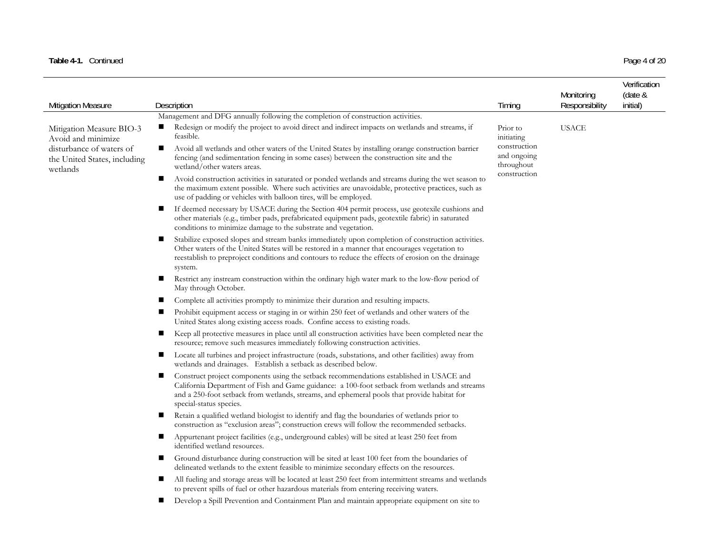### Table 4-1. Continued Page 4 of 20

| Mitigation Measure                                                         | Description                                                                                                                                                                                                                                                                                                             | Timing                                    | Monitoring<br>Responsibility | Verification<br>(date &<br>initial) |
|----------------------------------------------------------------------------|-------------------------------------------------------------------------------------------------------------------------------------------------------------------------------------------------------------------------------------------------------------------------------------------------------------------------|-------------------------------------------|------------------------------|-------------------------------------|
|                                                                            | Management and DFG annually following the completion of construction activities.                                                                                                                                                                                                                                        |                                           |                              |                                     |
| Mitigation Measure BIO-3<br>Avoid and minimize<br>disturbance of waters of | Redesign or modify the project to avoid direct and indirect impacts on wetlands and streams, if<br>п<br>feasible.<br>Avoid all wetlands and other waters of the United States by installing orange construction barrier<br>$\blacksquare$                                                                               | Prior to<br>initiating<br>construction    | <b>USACE</b>                 |                                     |
| the United States, including<br>wetlands                                   | fencing (and sedimentation fencing in some cases) between the construction site and the<br>wetland/other waters areas.                                                                                                                                                                                                  | and ongoing<br>throughout<br>construction |                              |                                     |
|                                                                            | Avoid construction activities in saturated or ponded wetlands and streams during the wet season to<br>ш<br>the maximum extent possible. Where such activities are unavoidable, protective practices, such as<br>use of padding or vehicles with balloon tires, will be employed.                                        |                                           |                              |                                     |
|                                                                            | If deemed necessary by USACE during the Section 404 permit process, use geotexile cushions and<br>ш<br>other materials (e.g., timber pads, prefabricated equipment pads, geotextile fabric) in saturated<br>conditions to minimize damage to the substrate and vegetation.                                              |                                           |                              |                                     |
|                                                                            | Stabilize exposed slopes and stream banks immediately upon completion of construction activities.<br>п<br>Other waters of the United States will be restored in a manner that encourages vegetation to<br>reestablish to preproject conditions and contours to reduce the effects of erosion on the drainage<br>system. |                                           |                              |                                     |
|                                                                            | Restrict any instream construction within the ordinary high water mark to the low-flow period of<br>May through October.                                                                                                                                                                                                |                                           |                              |                                     |
|                                                                            | Complete all activities promptly to minimize their duration and resulting impacts.                                                                                                                                                                                                                                      |                                           |                              |                                     |
|                                                                            | Prohibit equipment access or staging in or within 250 feet of wetlands and other waters of the<br>ш<br>United States along existing access roads. Confine access to existing roads.                                                                                                                                     |                                           |                              |                                     |
|                                                                            | Keep all protective measures in place until all construction activities have been completed near the<br>$\blacksquare$<br>resource; remove such measures immediately following construction activities.                                                                                                                 |                                           |                              |                                     |
|                                                                            | Locate all turbines and project infrastructure (roads, substations, and other facilities) away from<br>wetlands and drainages. Establish a setback as described below.                                                                                                                                                  |                                           |                              |                                     |
|                                                                            | Construct project components using the setback recommendations established in USACE and<br>п<br>California Department of Fish and Game guidance: a 100-foot setback from wetlands and streams<br>and a 250-foot setback from wetlands, streams, and ephemeral pools that provide habitat for<br>special-status species. |                                           |                              |                                     |
|                                                                            | Retain a qualified wetland biologist to identify and flag the boundaries of wetlands prior to<br>construction as "exclusion areas"; construction crews will follow the recommended setbacks.                                                                                                                            |                                           |                              |                                     |
|                                                                            | Appurtenant project facilities (e.g., underground cables) will be sited at least 250 feet from<br>ш<br>identified wetland resources.                                                                                                                                                                                    |                                           |                              |                                     |
|                                                                            | Ground disturbance during construction will be sited at least 100 feet from the boundaries of<br>delineated wetlands to the extent feasible to minimize secondary effects on the resources.                                                                                                                             |                                           |                              |                                     |
|                                                                            | All fueling and storage areas will be located at least 250 feet from intermittent streams and wetlands<br>ш<br>to prevent spills of fuel or other hazardous materials from entering receiving waters.                                                                                                                   |                                           |                              |                                     |
|                                                                            | Develop a Spill Prevention and Containment Plan and maintain appropriate equipment on site to                                                                                                                                                                                                                           |                                           |                              |                                     |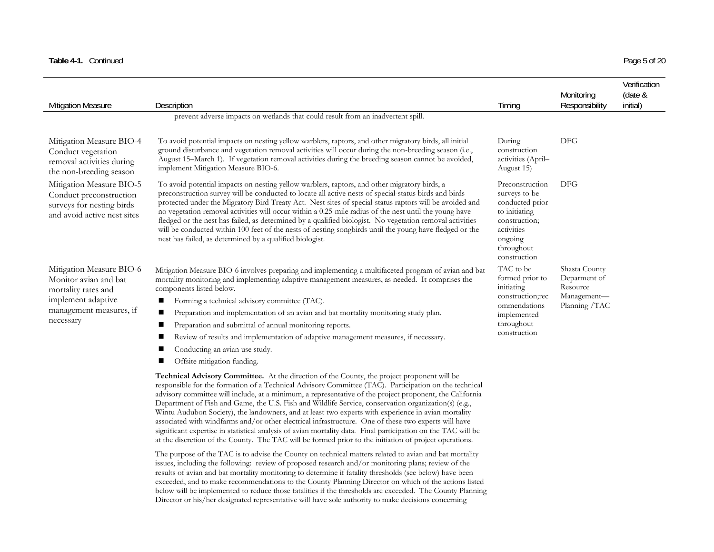| Table 4-1. Co | Continued | Page 5 of 20 |  |
|---------------|-----------|--------------|--|
|               |           |              |  |

| Page 5 of 20 |  |  |
|--------------|--|--|

| <b>Mitigation Measure</b>                                                                                                              | Description                                                                                                                                                                                                                                                                                                                                                                                                                                                                                                                                                                                                                                                                                                                                                                                                                                                               | Timing                                                                                                                                       | Monitoring<br>Responsibility                                              | Verification<br>(date &<br>initial) |
|----------------------------------------------------------------------------------------------------------------------------------------|---------------------------------------------------------------------------------------------------------------------------------------------------------------------------------------------------------------------------------------------------------------------------------------------------------------------------------------------------------------------------------------------------------------------------------------------------------------------------------------------------------------------------------------------------------------------------------------------------------------------------------------------------------------------------------------------------------------------------------------------------------------------------------------------------------------------------------------------------------------------------|----------------------------------------------------------------------------------------------------------------------------------------------|---------------------------------------------------------------------------|-------------------------------------|
|                                                                                                                                        | prevent adverse impacts on wetlands that could result from an inadvertent spill.                                                                                                                                                                                                                                                                                                                                                                                                                                                                                                                                                                                                                                                                                                                                                                                          |                                                                                                                                              |                                                                           |                                     |
| Mitigation Measure BIO-4<br>Conduct vegetation<br>removal activities during<br>the non-breeding season                                 | To avoid potential impacts on nesting yellow warblers, raptors, and other migratory birds, all initial<br>ground disturbance and vegetation removal activities will occur during the non-breeding season (i.e.,<br>August 15-March 1). If vegetation removal activities during the breeding season cannot be avoided,<br>implement Mitigation Measure BIO-6.                                                                                                                                                                                                                                                                                                                                                                                                                                                                                                              | During<br>construction<br>activities (April-<br>August 15)                                                                                   | DFG                                                                       |                                     |
| Mitigation Measure BIO-5<br>Conduct preconstruction<br>surveys for nesting birds<br>and avoid active nest sites                        | To avoid potential impacts on nesting yellow warblers, raptors, and other migratory birds, a<br>preconstruction survey will be conducted to locate all active nests of special-status birds and birds<br>protected under the Migratory Bird Treaty Act. Nest sites of special-status raptors will be avoided and<br>no vegetation removal activities will occur within a 0.25-mile radius of the nest until the young have<br>fledged or the nest has failed, as determined by a qualified biologist. No vegetation removal activities<br>will be conducted within 100 feet of the nests of nesting songbirds until the young have fledged or the<br>nest has failed, as determined by a qualified biologist.                                                                                                                                                             | Preconstruction<br>surveys to be<br>conducted prior<br>to initiating<br>construction;<br>activities<br>ongoing<br>throughout<br>construction | DFG                                                                       |                                     |
| Mitigation Measure BIO-6<br>Monitor avian and bat<br>mortality rates and<br>implement adaptive<br>management measures, if<br>necessary | Mitigation Measure BIO-6 involves preparing and implementing a multifaceted program of avian and bat<br>mortality monitoring and implementing adaptive management measures, as needed. It comprises the<br>components listed below.<br>Forming a technical advisory committee (TAC).<br>ш<br>Preparation and implementation of an avian and bat mortality monitoring study plan.<br>Preparation and submittal of annual monitoring reports.<br>Review of results and implementation of adaptive management measures, if necessary.<br>Conducting an avian use study.<br>Offsite mitigation funding.                                                                                                                                                                                                                                                                       | TAC to be<br>formed prior to<br>initiating<br>construction;rec<br>ommendations<br>implemented<br>throughout<br>construction                  | Shasta County<br>Deparment of<br>Resource<br>Management-<br>Planning /TAC |                                     |
|                                                                                                                                        | <b>Technical Advisory Committee.</b> At the direction of the County, the project proponent will be<br>responsible for the formation of a Technical Advisory Committee (TAC). Participation on the technical<br>advisory committee will include, at a minimum, a representative of the project proponent, the California<br>Department of Fish and Game, the U.S. Fish and Wildlife Service, conservation organization(s) (e.g.,<br>Wintu Audubon Society), the landowners, and at least two experts with experience in avian mortality<br>associated with windfarms and/or other electrical infrastructure. One of these two experts will have<br>significant expertise in statistical analysis of avian mortality data. Final participation on the TAC will be<br>at the discretion of the County. The TAC will be formed prior to the initiation of project operations. |                                                                                                                                              |                                                                           |                                     |
|                                                                                                                                        | The purpose of the TAC is to advise the County on technical matters related to avian and bat mortality<br>issues, including the following: review of proposed research and/or monitoring plans; review of the<br>results of avian and bat mortality monitoring to determine if fatality thresholds (see below) have been<br>exceeded, and to make recommendations to the County Planning Director on which of the actions listed                                                                                                                                                                                                                                                                                                                                                                                                                                          |                                                                                                                                              |                                                                           |                                     |

below will be implemented to reduce those fatalities if the thresholds are exceeded. The County Planning Director or his/her designated representative will have sole authority to make decisions concerning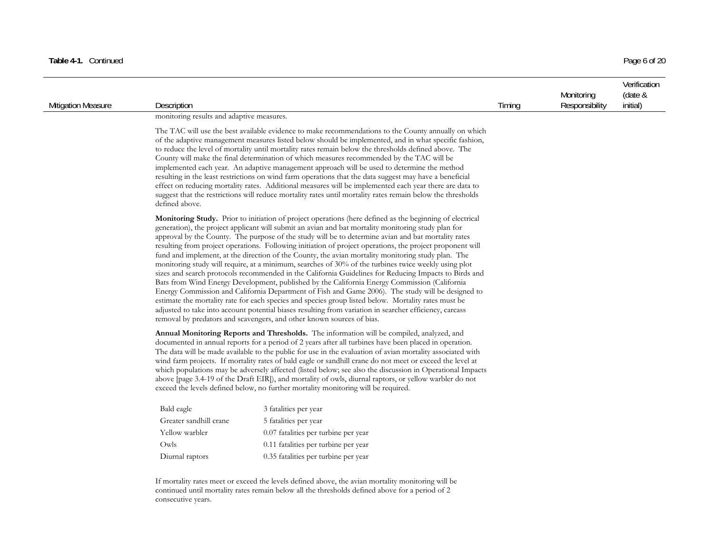| <b>Mitigation Measure</b> | Description                                                                                                                                                                                                                                                                                                                                                                                                                                                                                                                                                                                                                                                                                                                                                                                                                                                                                                                                                                                                                                                                                                                                                                                                                                                                                                                                                                                                                                                                                                                                                                                                                                                                                                                                                                                                                                                                                                                                                                                                        |                                                                                                                                                                                                                                                                                                                                                                                                                                                                                                                                                                                                                                                                                                                                                                                                                                                         | Timing | Monitoring<br>Responsibility | Verification<br>(date &<br>initial) |
|---------------------------|--------------------------------------------------------------------------------------------------------------------------------------------------------------------------------------------------------------------------------------------------------------------------------------------------------------------------------------------------------------------------------------------------------------------------------------------------------------------------------------------------------------------------------------------------------------------------------------------------------------------------------------------------------------------------------------------------------------------------------------------------------------------------------------------------------------------------------------------------------------------------------------------------------------------------------------------------------------------------------------------------------------------------------------------------------------------------------------------------------------------------------------------------------------------------------------------------------------------------------------------------------------------------------------------------------------------------------------------------------------------------------------------------------------------------------------------------------------------------------------------------------------------------------------------------------------------------------------------------------------------------------------------------------------------------------------------------------------------------------------------------------------------------------------------------------------------------------------------------------------------------------------------------------------------------------------------------------------------------------------------------------------------|---------------------------------------------------------------------------------------------------------------------------------------------------------------------------------------------------------------------------------------------------------------------------------------------------------------------------------------------------------------------------------------------------------------------------------------------------------------------------------------------------------------------------------------------------------------------------------------------------------------------------------------------------------------------------------------------------------------------------------------------------------------------------------------------------------------------------------------------------------|--------|------------------------------|-------------------------------------|
|                           | monitoring results and adaptive measures.                                                                                                                                                                                                                                                                                                                                                                                                                                                                                                                                                                                                                                                                                                                                                                                                                                                                                                                                                                                                                                                                                                                                                                                                                                                                                                                                                                                                                                                                                                                                                                                                                                                                                                                                                                                                                                                                                                                                                                          |                                                                                                                                                                                                                                                                                                                                                                                                                                                                                                                                                                                                                                                                                                                                                                                                                                                         |        |                              |                                     |
|                           | defined above.                                                                                                                                                                                                                                                                                                                                                                                                                                                                                                                                                                                                                                                                                                                                                                                                                                                                                                                                                                                                                                                                                                                                                                                                                                                                                                                                                                                                                                                                                                                                                                                                                                                                                                                                                                                                                                                                                                                                                                                                     | The TAC will use the best available evidence to make recommendations to the County annually on which<br>of the adaptive management measures listed below should be implemented, and in what specific fashion,<br>to reduce the level of mortality until mortality rates remain below the thresholds defined above. The<br>County will make the final determination of which measures recommended by the TAC will be<br>implemented each year. An adaptive management approach will be used to determine the method<br>resulting in the least restrictions on wind farm operations that the data suggest may have a beneficial<br>effect on reducing mortality rates. Additional measures will be implemented each year there are data to<br>suggest that the restrictions will reduce mortality rates until mortality rates remain below the thresholds |        |                              |                                     |
|                           | <b>Monitoring Study.</b> Prior to initiation of project operations (here defined as the beginning of electrical<br>generation), the project applicant will submit an avian and bat mortality monitoring study plan for<br>approval by the County. The purpose of the study will be to determine avian and bat mortality rates<br>resulting from project operations. Following initiation of project operations, the project proponent will<br>fund and implement, at the direction of the County, the avian mortality monitoring study plan. The<br>monitoring study will require, at a minimum, searches of 30% of the turbines twice weekly using plot<br>sizes and search protocols recommended in the California Guidelines for Reducing Impacts to Birds and<br>Bats from Wind Energy Development, published by the California Energy Commission (California<br>Energy Commission and California Department of Fish and Game 2006). The study will be designed to<br>estimate the mortality rate for each species and species group listed below. Mortality rates must be<br>adjusted to take into account potential biases resulting from variation in searcher efficiency, carcass<br>removal by predators and scavengers, and other known sources of bias.<br>Annual Monitoring Reports and Thresholds. The information will be compiled, analyzed, and<br>documented in annual reports for a period of 2 years after all turbines have been placed in operation.<br>The data will be made available to the public for use in the evaluation of avian mortality associated with<br>wind farm projects. If mortality rates of bald eagle or sandhill crane do not meet or exceed the level at<br>which populations may be adversely affected (listed below; see also the discussion in Operational Impacts<br>above [page 3.4-19 of the Draft EIR]), and mortality of owls, diurnal raptors, or yellow warbler do not<br>exceed the levels defined below, no further mortality monitoring will be required. |                                                                                                                                                                                                                                                                                                                                                                                                                                                                                                                                                                                                                                                                                                                                                                                                                                                         |        |                              |                                     |
|                           |                                                                                                                                                                                                                                                                                                                                                                                                                                                                                                                                                                                                                                                                                                                                                                                                                                                                                                                                                                                                                                                                                                                                                                                                                                                                                                                                                                                                                                                                                                                                                                                                                                                                                                                                                                                                                                                                                                                                                                                                                    |                                                                                                                                                                                                                                                                                                                                                                                                                                                                                                                                                                                                                                                                                                                                                                                                                                                         |        |                              |                                     |
|                           | Bald eagle<br>3 fatalities per year                                                                                                                                                                                                                                                                                                                                                                                                                                                                                                                                                                                                                                                                                                                                                                                                                                                                                                                                                                                                                                                                                                                                                                                                                                                                                                                                                                                                                                                                                                                                                                                                                                                                                                                                                                                                                                                                                                                                                                                |                                                                                                                                                                                                                                                                                                                                                                                                                                                                                                                                                                                                                                                                                                                                                                                                                                                         |        |                              |                                     |
|                           | Greater sandhill crane                                                                                                                                                                                                                                                                                                                                                                                                                                                                                                                                                                                                                                                                                                                                                                                                                                                                                                                                                                                                                                                                                                                                                                                                                                                                                                                                                                                                                                                                                                                                                                                                                                                                                                                                                                                                                                                                                                                                                                                             | 5 fatalities per year                                                                                                                                                                                                                                                                                                                                                                                                                                                                                                                                                                                                                                                                                                                                                                                                                                   |        |                              |                                     |
|                           | Yellow warbler                                                                                                                                                                                                                                                                                                                                                                                                                                                                                                                                                                                                                                                                                                                                                                                                                                                                                                                                                                                                                                                                                                                                                                                                                                                                                                                                                                                                                                                                                                                                                                                                                                                                                                                                                                                                                                                                                                                                                                                                     | 0.07 fatalities per turbine per year                                                                                                                                                                                                                                                                                                                                                                                                                                                                                                                                                                                                                                                                                                                                                                                                                    |        |                              |                                     |
|                           | Owls                                                                                                                                                                                                                                                                                                                                                                                                                                                                                                                                                                                                                                                                                                                                                                                                                                                                                                                                                                                                                                                                                                                                                                                                                                                                                                                                                                                                                                                                                                                                                                                                                                                                                                                                                                                                                                                                                                                                                                                                               | 0.11 fatalities per turbine per year                                                                                                                                                                                                                                                                                                                                                                                                                                                                                                                                                                                                                                                                                                                                                                                                                    |        |                              |                                     |
|                           | Diurnal raptors                                                                                                                                                                                                                                                                                                                                                                                                                                                                                                                                                                                                                                                                                                                                                                                                                                                                                                                                                                                                                                                                                                                                                                                                                                                                                                                                                                                                                                                                                                                                                                                                                                                                                                                                                                                                                                                                                                                                                                                                    | 0.35 fatalities per turbine per year                                                                                                                                                                                                                                                                                                                                                                                                                                                                                                                                                                                                                                                                                                                                                                                                                    |        |                              |                                     |
|                           |                                                                                                                                                                                                                                                                                                                                                                                                                                                                                                                                                                                                                                                                                                                                                                                                                                                                                                                                                                                                                                                                                                                                                                                                                                                                                                                                                                                                                                                                                                                                                                                                                                                                                                                                                                                                                                                                                                                                                                                                                    | If mortality rates meet or exceed the levels defined above, the avian mortality monitoring will be<br>continued until mortality rates remain below all the thresholds defined above for a period of 2                                                                                                                                                                                                                                                                                                                                                                                                                                                                                                                                                                                                                                                   |        |                              |                                     |

consecutive years.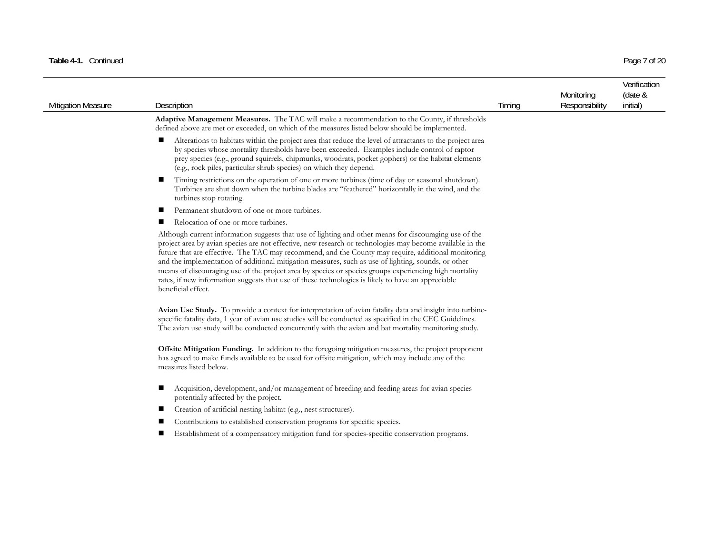### Table 4-1. Continued Page 7 of 20

| <b>Mitigation Measure</b> | Description                                                                                                                                                                                                                                                                                                                                                                                                                                                                                                                                                                                                                                                             | Timing | Monitoring<br>Responsibility | Verification<br>(date &<br>initial) |
|---------------------------|-------------------------------------------------------------------------------------------------------------------------------------------------------------------------------------------------------------------------------------------------------------------------------------------------------------------------------------------------------------------------------------------------------------------------------------------------------------------------------------------------------------------------------------------------------------------------------------------------------------------------------------------------------------------------|--------|------------------------------|-------------------------------------|
|                           | Adaptive Management Measures. The TAC will make a recommendation to the County, if thresholds<br>defined above are met or exceeded, on which of the measures listed below should be implemented.                                                                                                                                                                                                                                                                                                                                                                                                                                                                        |        |                              |                                     |
|                           | Alterations to habitats within the project area that reduce the level of attractants to the project area<br>ш<br>by species whose mortality thresholds have been exceeded. Examples include control of raptor<br>prey species (e.g., ground squirrels, chipmunks, woodrats, pocket gophers) or the habitat elements<br>(e.g., rock piles, particular shrub species) on which they depend.                                                                                                                                                                                                                                                                               |        |                              |                                     |
|                           | Timing restrictions on the operation of one or more turbines (time of day or seasonal shutdown).<br>Turbines are shut down when the turbine blades are "feathered" horizontally in the wind, and the<br>turbines stop rotating.                                                                                                                                                                                                                                                                                                                                                                                                                                         |        |                              |                                     |
|                           | Permanent shutdown of one or more turbines.                                                                                                                                                                                                                                                                                                                                                                                                                                                                                                                                                                                                                             |        |                              |                                     |
|                           | Relocation of one or more turbines.                                                                                                                                                                                                                                                                                                                                                                                                                                                                                                                                                                                                                                     |        |                              |                                     |
|                           | Although current information suggests that use of lighting and other means for discouraging use of the<br>project area by avian species are not effective, new research or technologies may become available in the<br>future that are effective. The TAC may recommend, and the County may require, additional monitoring<br>and the implementation of additional mitigation measures, such as use of lighting, sounds, or other<br>means of discouraging use of the project area by species or species groups experiencing high mortality<br>rates, if new information suggests that use of these technologies is likely to have an appreciable<br>beneficial effect. |        |                              |                                     |
|                           | Avian Use Study. To provide a context for interpretation of avian fatality data and insight into turbine-<br>specific fatality data, 1 year of avian use studies will be conducted as specified in the CEC Guidelines.<br>The avian use study will be conducted concurrently with the avian and bat mortality monitoring study.                                                                                                                                                                                                                                                                                                                                         |        |                              |                                     |
|                           | Offsite Mitigation Funding. In addition to the foregoing mitigation measures, the project proponent<br>has agreed to make funds available to be used for offsite mitigation, which may include any of the<br>measures listed below.                                                                                                                                                                                                                                                                                                                                                                                                                                     |        |                              |                                     |
|                           | Acquisition, development, and/or management of breeding and feeding areas for avian species<br>potentially affected by the project.                                                                                                                                                                                                                                                                                                                                                                                                                                                                                                                                     |        |                              |                                     |
|                           | Creation of artificial nesting habitat (e.g., nest structures).                                                                                                                                                                                                                                                                                                                                                                                                                                                                                                                                                                                                         |        |                              |                                     |
|                           | Contributions to established conservation programs for specific species.                                                                                                                                                                                                                                                                                                                                                                                                                                                                                                                                                                                                |        |                              |                                     |
|                           | Establishment of a compensatory mitigation fund for species-specific conservation programs.                                                                                                                                                                                                                                                                                                                                                                                                                                                                                                                                                                             |        |                              |                                     |
|                           |                                                                                                                                                                                                                                                                                                                                                                                                                                                                                                                                                                                                                                                                         |        |                              |                                     |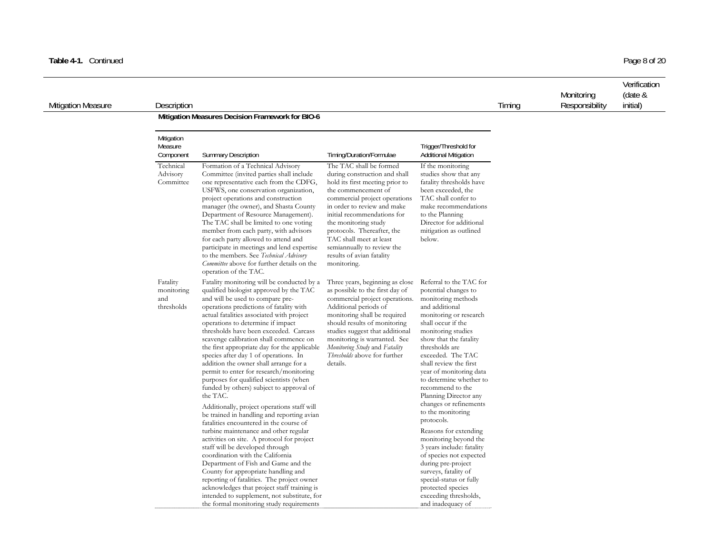| <b>Mitigation Measure</b> | <b>Description</b>                               | Timing | Monitoring<br>Responsibility | Verification<br>(date &<br>initial) |
|---------------------------|--------------------------------------------------|--------|------------------------------|-------------------------------------|
|                           | Mitigation Measures Decision Framework for BIO-6 |        |                              |                                     |

| Mitigation<br>Measure<br>Component          | <b>Summary Description</b>                                                                                                                                                                                                                                                                                                                                                                                                                                                                                                                                                                                                                                                                                                                                          | Timing/Duration/Formulae                                                                                                                                                                                                                                                                                                                                                     | Trigger/Threshold for<br><b>Additional Mitigation</b>                                                                                                                                                                                                                                                                                                                                                                    |
|---------------------------------------------|---------------------------------------------------------------------------------------------------------------------------------------------------------------------------------------------------------------------------------------------------------------------------------------------------------------------------------------------------------------------------------------------------------------------------------------------------------------------------------------------------------------------------------------------------------------------------------------------------------------------------------------------------------------------------------------------------------------------------------------------------------------------|------------------------------------------------------------------------------------------------------------------------------------------------------------------------------------------------------------------------------------------------------------------------------------------------------------------------------------------------------------------------------|--------------------------------------------------------------------------------------------------------------------------------------------------------------------------------------------------------------------------------------------------------------------------------------------------------------------------------------------------------------------------------------------------------------------------|
| Technical<br>Advisory<br>Committee          | Formation of a Technical Advisory<br>Committee (invited parties shall include<br>one representative each from the CDFG,<br>USFWS, one conservation organization,<br>project operations and construction<br>manager (the owner), and Shasta County<br>Department of Resource Management).<br>The TAC shall be limited to one voting<br>member from each party, with advisors<br>for each party allowed to attend and<br>participate in meetings and lend expertise<br>to the members. See Technical Advisory<br>Committee above for further details on the<br>operation of the TAC.                                                                                                                                                                                  | The TAC shall be formed<br>during construction and shall<br>hold its first meeting prior to<br>the commencement of<br>commercial project operations<br>in order to review and make<br>initial recommendations for<br>the monitoring study<br>protocols. Thereafter, the<br>TAC shall meet at least<br>semiannually to review the<br>results of avian fatality<br>monitoring. | If the monitoring<br>studies show that any<br>fatality thresholds have<br>been exceeded, the<br>TAC shall confer to<br>make recommendations<br>to the Planning<br>Director for additional<br>mitigation as outlined<br>below.                                                                                                                                                                                            |
| Fatality<br>monitoring<br>and<br>thresholds | Fatality monitoring will be conducted by a<br>qualified biologist approved by the TAC<br>and will be used to compare pre-<br>operations predictions of fatality with<br>actual fatalities associated with project<br>operations to determine if impact<br>thresholds have been exceeded. Carcass<br>scavenge calibration shall commence on<br>the first appropriate day for the applicable<br>species after day 1 of operations. In<br>addition the owner shall arrange for a<br>permit to enter for research/monitoring<br>purposes for qualified scientists (when<br>funded by others) subject to approval of<br>the TAC.<br>Additionally, project operations staff will<br>be trained in handling and reporting avian<br>fatalities encountered in the course of | Three years, beginning as close<br>as possible to the first day of<br>commercial project operations.<br>Additional periods of<br>monitoring shall be required<br>should results of monitoring<br>studies suggest that additional<br>monitoring is warranted. See<br>Monitoring Study and Fatality<br><i>Thresholds</i> above for further<br>details.                         | Referral to the TAC for<br>potential changes to<br>monitoring methods<br>and additional<br>monitoring or research<br>shall occur if the<br>monitoring studies<br>show that the fatality<br>thresholds are<br>exceeded. The TAC<br>shall review the first<br>year of monitoring data<br>to determine whether to<br>recommend to the<br>Planning Director any<br>changes or refinements<br>to the monitoring<br>protocols. |
|                                             | turbine maintenance and other regular<br>activities on site. A protocol for project<br>staff will be developed through<br>coordination with the California<br>Department of Fish and Game and the<br>County for appropriate handling and<br>reporting of fatalities. The project owner<br>acknowledges that project staff training is<br>intended to supplement, not substitute, for<br>the formal monitoring study requirements                                                                                                                                                                                                                                                                                                                                    |                                                                                                                                                                                                                                                                                                                                                                              | Reasons for extending<br>monitoring beyond the<br>3 years include: fatality<br>of species not expected<br>during pre-project<br>surveys, fatality of<br>special-status or fully<br>protected species<br>exceeding thresholds,<br>and inadequacy of                                                                                                                                                                       |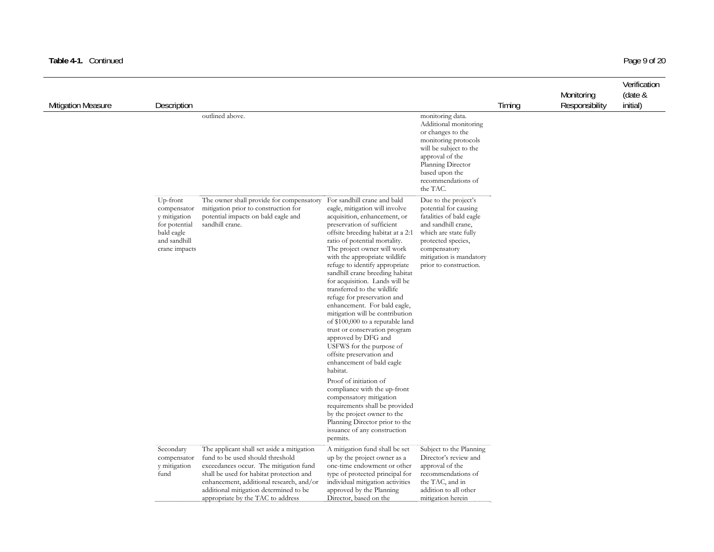### Table 4-1. Continued Page 9 of 20

| <b>Mitigation Measure</b> | Description                                                                                             |                                                                                                                                                                                                                                                                                                 |                                                                                                                                                                                                                                                                                                                                                                                                                                                                                                                                                                                                                                                                                                                                                                                                                                                                                                                                            |                                                                                                                                                                                                                      | Timing | Monitoring<br>Responsibility | Verification<br>(date &<br>initial) |
|---------------------------|---------------------------------------------------------------------------------------------------------|-------------------------------------------------------------------------------------------------------------------------------------------------------------------------------------------------------------------------------------------------------------------------------------------------|--------------------------------------------------------------------------------------------------------------------------------------------------------------------------------------------------------------------------------------------------------------------------------------------------------------------------------------------------------------------------------------------------------------------------------------------------------------------------------------------------------------------------------------------------------------------------------------------------------------------------------------------------------------------------------------------------------------------------------------------------------------------------------------------------------------------------------------------------------------------------------------------------------------------------------------------|----------------------------------------------------------------------------------------------------------------------------------------------------------------------------------------------------------------------|--------|------------------------------|-------------------------------------|
|                           |                                                                                                         | outlined above.                                                                                                                                                                                                                                                                                 |                                                                                                                                                                                                                                                                                                                                                                                                                                                                                                                                                                                                                                                                                                                                                                                                                                                                                                                                            | monitoring data.<br>Additional monitoring<br>or changes to the<br>monitoring protocols<br>will be subject to the<br>approval of the<br>Planning Director<br>based upon the<br>recommendations of<br>the TAC.         |        |                              |                                     |
|                           | Up-front<br>compensator<br>y mitigation<br>for potential<br>bald eagle<br>and sandhill<br>crane impacts | The owner shall provide for compensatory<br>mitigation prior to construction for<br>potential impacts on bald eagle and<br>sandhill crane.                                                                                                                                                      | For sandhill crane and bald<br>eagle, mitigation will involve<br>acquisition, enhancement, or<br>preservation of sufficient<br>offsite breeding habitat at a 2:1<br>ratio of potential mortality.<br>The project owner will work<br>with the appropriate wildlife<br>refuge to identify appropriate<br>sandhill crane breeding habitat<br>for acquisition. Lands will be<br>transferred to the wildlife<br>refuge for preservation and<br>enhancement. For bald eagle,<br>mitigation will be contribution<br>of \$100,000 to a reputable land<br>trust or conservation program<br>approved by DFG and<br>USFWS for the purpose of<br>offsite preservation and<br>enhancement of bald eagle<br>habitat.<br>Proof of initiation of<br>compliance with the up-front<br>compensatory mitigation<br>requirements shall be provided<br>by the project owner to the<br>Planning Director prior to the<br>issuance of any construction<br>permits. | Due to the project's<br>potential for causing<br>fatalities of bald eagle<br>and sandhill crane,<br>which are state fully<br>protected species,<br>compensatory<br>mitigation is mandatory<br>prior to construction. |        |                              |                                     |
|                           | Secondary<br>compensator<br>y mitigation<br>fund                                                        | The applicant shall set aside a mitigation<br>fund to be used should threshold<br>exceedances occur. The mitigation fund<br>shall be used for habitat protection and<br>enhancement, additional research, and/or<br>additional mitigation determined to be<br>appropriate by the TAC to address | A mitigation fund shall be set<br>up by the project owner as a<br>one-time endowment or other<br>type of protected principal for<br>individual mitigation activities<br>approved by the Planning<br>Director, based on the                                                                                                                                                                                                                                                                                                                                                                                                                                                                                                                                                                                                                                                                                                                 | Subject to the Planning<br>Director's review and<br>approval of the<br>recommendations of<br>the TAC, and in<br>addition to all other<br>mitigation herein                                                           |        |                              |                                     |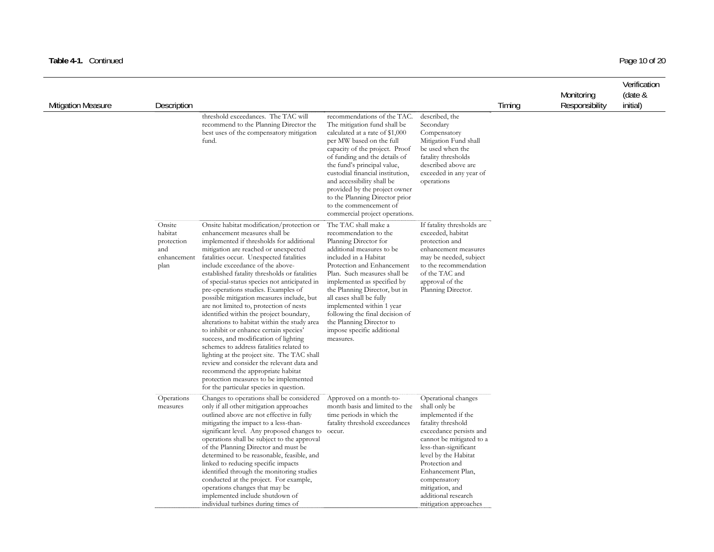### Table 4-1. Continued Page 10 of 20

| <b>Mitigation Measure</b> | Description                                                   |                                                                                                                                                                                                                                                                                                                                                                                                                                                                                                                                                                                                                                                                                                                                                                                                                                                                                                                              |                                                                                                                                                                                                                                                                                                                                                                                                                               |                                                                                                                                                                                                                                                                                                                    | Timing | Monitoring<br>Responsibility | Verification<br>(date &<br>initial) |
|---------------------------|---------------------------------------------------------------|------------------------------------------------------------------------------------------------------------------------------------------------------------------------------------------------------------------------------------------------------------------------------------------------------------------------------------------------------------------------------------------------------------------------------------------------------------------------------------------------------------------------------------------------------------------------------------------------------------------------------------------------------------------------------------------------------------------------------------------------------------------------------------------------------------------------------------------------------------------------------------------------------------------------------|-------------------------------------------------------------------------------------------------------------------------------------------------------------------------------------------------------------------------------------------------------------------------------------------------------------------------------------------------------------------------------------------------------------------------------|--------------------------------------------------------------------------------------------------------------------------------------------------------------------------------------------------------------------------------------------------------------------------------------------------------------------|--------|------------------------------|-------------------------------------|
|                           |                                                               | threshold exceedances. The TAC will<br>recommend to the Planning Director the<br>best uses of the compensatory mitigation<br>fund.                                                                                                                                                                                                                                                                                                                                                                                                                                                                                                                                                                                                                                                                                                                                                                                           | recommendations of the TAC.<br>The mitigation fund shall be<br>calculated at a rate of \$1,000<br>per MW based on the full<br>capacity of the project. Proof<br>of funding and the details of<br>the fund's principal value,<br>custodial financial institution,<br>and accessibility shall be<br>provided by the project owner<br>to the Planning Director prior<br>to the commencement of<br>commercial project operations. | described, the<br>Secondary<br>Compensatory<br>Mitigation Fund shall<br>be used when the<br>fatality thresholds<br>described above are<br>exceeded in any year of<br>operations                                                                                                                                    |        |                              |                                     |
|                           | Onsite<br>habitat<br>protection<br>and<br>enhancement<br>plan | Onsite habitat modification/protection or<br>enhancement measures shall be<br>implemented if thresholds for additional<br>mitigation are reached or unexpected<br>fatalities occur. Unexpected fatalities<br>include exceedance of the above-<br>established fatality thresholds or fatalities<br>of special-status species not anticipated in<br>pre-operations studies. Examples of<br>possible mitigation measures include, but<br>are not limited to, protection of nests<br>identified within the project boundary,<br>alterations to habitat within the study area<br>to inhibit or enhance certain species'<br>success, and modification of lighting<br>schemes to address fatalities related to<br>lighting at the project site. The TAC shall<br>review and consider the relevant data and<br>recommend the appropriate habitat<br>protection measures to be implemented<br>for the particular species in question. | The TAC shall make a<br>recommendation to the<br>Planning Director for<br>additional measures to be<br>included in a Habitat<br>Protection and Enhancement<br>Plan. Such measures shall be<br>implemented as specified by<br>the Planning Director, but in<br>all cases shall be fully<br>implemented within 1 year<br>following the final decision of<br>the Planning Director to<br>impose specific additional<br>measures. | If fatality thresholds are<br>exceeded, habitat<br>protection and<br>enhancement measures<br>may be needed, subject<br>to the recommendation<br>of the TAC and<br>approval of the<br>Planning Director.                                                                                                            |        |                              |                                     |
|                           | Operations<br>measures                                        | Changes to operations shall be considered<br>only if all other mitigation approaches<br>outlined above are not effective in fully<br>mitigating the impact to a less-than-<br>significant level. Any proposed changes to<br>operations shall be subject to the approval<br>of the Planning Director and must be<br>determined to be reasonable, feasible, and<br>linked to reducing specific impacts<br>identified through the monitoring studies<br>conducted at the project. For example,<br>operations changes that may be<br>implemented include shutdown of<br>individual turbines during times of                                                                                                                                                                                                                                                                                                                      | Approved on a month-to-<br>month basis and limited to the<br>time periods in which the<br>fatality threshold exceedances<br>occur.                                                                                                                                                                                                                                                                                            | Operational changes<br>shall only be<br>implemented if the<br>fatality threshold<br>exceedance persists and<br>cannot be mitigated to a<br>less-than-significant<br>level by the Habitat<br>Protection and<br>Enhancement Plan,<br>compensatory<br>mitigation, and<br>additional research<br>mitigation approaches |        |                              |                                     |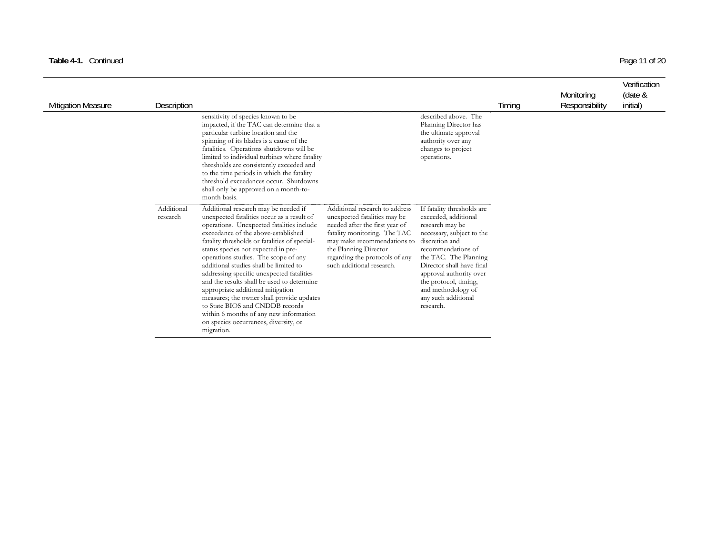### Table 4-1. Continued Page 11 of 20

| Mitigation Measure | Description            |                                                                                                                                                                                                                                                                                                                                                                                                                                                                                                                                                                                                                                                                   |                                                                                                                                                                                                                                                         |                                                                                                                                                                                                                                                                                                                | Timing | Monitoring<br>Responsibility | Verification<br>(date &<br>initial) |
|--------------------|------------------------|-------------------------------------------------------------------------------------------------------------------------------------------------------------------------------------------------------------------------------------------------------------------------------------------------------------------------------------------------------------------------------------------------------------------------------------------------------------------------------------------------------------------------------------------------------------------------------------------------------------------------------------------------------------------|---------------------------------------------------------------------------------------------------------------------------------------------------------------------------------------------------------------------------------------------------------|----------------------------------------------------------------------------------------------------------------------------------------------------------------------------------------------------------------------------------------------------------------------------------------------------------------|--------|------------------------------|-------------------------------------|
|                    |                        | sensitivity of species known to be<br>impacted, if the TAC can determine that a<br>particular turbine location and the<br>spinning of its blades is a cause of the<br>fatalities. Operations shutdowns will be<br>limited to individual turbines where fatality<br>thresholds are consistently exceeded and<br>to the time periods in which the fatality<br>threshold exceedances occur. Shutdowns<br>shall only be approved on a month-to-<br>month basis.                                                                                                                                                                                                       |                                                                                                                                                                                                                                                         | described above. The<br>Planning Director has<br>the ultimate approval<br>authority over any<br>changes to project<br>operations.                                                                                                                                                                              |        |                              |                                     |
|                    | Additional<br>research | Additional research may be needed if<br>unexpected fatalities occur as a result of<br>operations. Unexpected fatalities include<br>exceedance of the above-established<br>fatality thresholds or fatalities of special-<br>status species not expected in pre-<br>operations studies. The scope of any<br>additional studies shall be limited to<br>addressing specific unexpected fatalities<br>and the results shall be used to determine<br>appropriate additional mitigation<br>measures; the owner shall provide updates<br>to State BIOS and CNDDB records<br>within 6 months of any new information<br>on species occurrences, diversity, or<br>migration. | Additional research to address<br>unexpected fatalities may be<br>needed after the first year of<br>fatality monitoring. The TAC<br>may make recommendations to<br>the Planning Director<br>regarding the protocols of any<br>such additional research. | If fatality thresholds are<br>exceeded, additional<br>research may be<br>necessary, subject to the<br>discretion and<br>recommendations of<br>the TAC. The Planning<br>Director shall have final<br>approval authority over<br>the protocol, timing,<br>and methodology of<br>any such additional<br>research. |        |                              |                                     |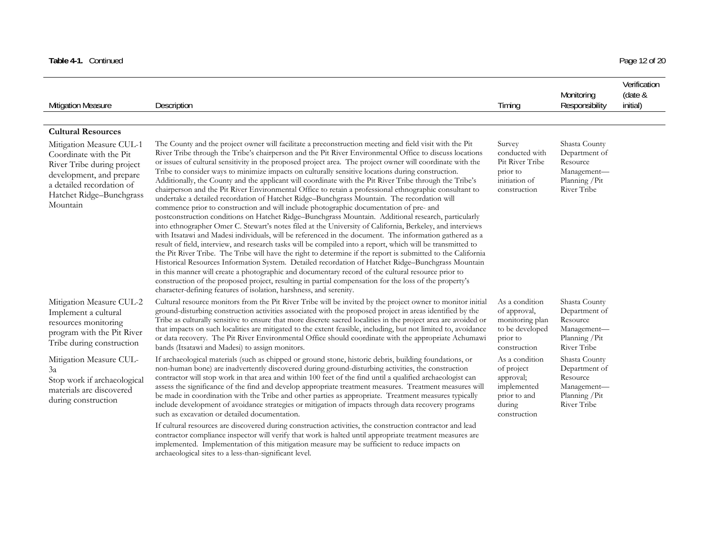| Table 4-1. Continued                                                                                                                                                               |                                                                                                                                                                                                                                                                                                                                                                                                                                                                                                                                                                                                                                                                                                                                                                                                                                                                                                                                                                                                                                                                                                                                                                                                                                                                                                                                                                                                                                                                                                                                                                                                                                                                                                                                                                                                               |                                                                                                    |                                                                                            | Page 12 of 20                       |
|------------------------------------------------------------------------------------------------------------------------------------------------------------------------------------|---------------------------------------------------------------------------------------------------------------------------------------------------------------------------------------------------------------------------------------------------------------------------------------------------------------------------------------------------------------------------------------------------------------------------------------------------------------------------------------------------------------------------------------------------------------------------------------------------------------------------------------------------------------------------------------------------------------------------------------------------------------------------------------------------------------------------------------------------------------------------------------------------------------------------------------------------------------------------------------------------------------------------------------------------------------------------------------------------------------------------------------------------------------------------------------------------------------------------------------------------------------------------------------------------------------------------------------------------------------------------------------------------------------------------------------------------------------------------------------------------------------------------------------------------------------------------------------------------------------------------------------------------------------------------------------------------------------------------------------------------------------------------------------------------------------|----------------------------------------------------------------------------------------------------|--------------------------------------------------------------------------------------------|-------------------------------------|
| <b>Mitigation Measure</b>                                                                                                                                                          | Description                                                                                                                                                                                                                                                                                                                                                                                                                                                                                                                                                                                                                                                                                                                                                                                                                                                                                                                                                                                                                                                                                                                                                                                                                                                                                                                                                                                                                                                                                                                                                                                                                                                                                                                                                                                                   | Timing                                                                                             | Monitoring<br>Responsibility                                                               | Verification<br>(date &<br>initial) |
| <b>Cultural Resources</b>                                                                                                                                                          |                                                                                                                                                                                                                                                                                                                                                                                                                                                                                                                                                                                                                                                                                                                                                                                                                                                                                                                                                                                                                                                                                                                                                                                                                                                                                                                                                                                                                                                                                                                                                                                                                                                                                                                                                                                                               |                                                                                                    |                                                                                            |                                     |
| Mitigation Measure CUL-1<br>Coordinate with the Pit<br>River Tribe during project<br>development, and prepare<br>a detailed recordation of<br>Hatchet Ridge-Bunchgrass<br>Mountain | The County and the project owner will facilitate a preconstruction meeting and field visit with the Pit<br>River Tribe through the Tribe's chairperson and the Pit River Environmental Office to discuss locations<br>or issues of cultural sensitivity in the proposed project area. The project owner will coordinate with the<br>Tribe to consider ways to minimize impacts on culturally sensitive locations during construction.<br>Additionally, the County and the applicant will coordinate with the Pit River Tribe through the Tribe's<br>chairperson and the Pit River Environmental Office to retain a professional ethnographic consultant to<br>undertake a detailed recordation of Hatchet Ridge-Bunchgrass Mountain. The recordation will<br>commence prior to construction and will include photographic documentation of pre- and<br>postconstruction conditions on Hatchet Ridge-Bunchgrass Mountain. Additional research, particularly<br>into ethnographer Omer C. Stewart's notes filed at the University of California, Berkeley, and interviews<br>with Itsatawi and Madesi individuals, will be referenced in the document. The information gathered as a<br>result of field, interview, and research tasks will be compiled into a report, which will be transmitted to<br>the Pit River Tribe. The Tribe will have the right to determine if the report is submitted to the California<br>Historical Resources Information System. Detailed recordation of Hatchet Ridge-Bunchgrass Mountain<br>in this manner will create a photographic and documentary record of the cultural resource prior to<br>construction of the proposed project, resulting in partial compensation for the loss of the property's<br>character-defining features of isolation, harshness, and serenity. | Survey<br>conducted with<br>Pit River Tribe<br>prior to<br>initiation of<br>construction           | Shasta County<br>Department of<br>Resource<br>Management-<br>Planning / Pit<br>River Tribe |                                     |
| Mitigation Measure CUL-2<br>Implement a cultural<br>resources monitoring<br>program with the Pit River<br>Tribe during construction                                                | Cultural resource monitors from the Pit River Tribe will be invited by the project owner to monitor initial<br>ground-disturbing construction activities associated with the proposed project in areas identified by the<br>Tribe as culturally sensitive to ensure that more discrete sacred localities in the project area are avoided or<br>that impacts on such localities are mitigated to the extent feasible, including, but not limited to, avoidance<br>or data recovery. The Pit River Environmental Office should coordinate with the appropriate Achumawi<br>bands (Itsatawi and Madesi) to assign monitors.                                                                                                                                                                                                                                                                                                                                                                                                                                                                                                                                                                                                                                                                                                                                                                                                                                                                                                                                                                                                                                                                                                                                                                                      | As a condition<br>of approval,<br>monitoring plan<br>to be developed<br>prior to<br>construction   | Shasta County<br>Department of<br>Resource<br>Management-<br>Planning / Pit<br>River Tribe |                                     |
| Mitigation Measure CUL-<br>3a<br>Stop work if archaeological<br>materials are discovered<br>during construction                                                                    | If archaeological materials (such as chipped or ground stone, historic debris, building foundations, or<br>non-human bone) are inadvertently discovered during ground-disturbing activities, the construction<br>contractor will stop work in that area and within 100 feet of the find until a qualified archaeologist can<br>assess the significance of the find and develop appropriate treatment measures. Treatment measures will<br>be made in coordination with the Tribe and other parties as appropriate. Treatment measures typically<br>include development of avoidance strategies or mitigation of impacts through data recovery programs<br>such as excavation or detailed documentation.                                                                                                                                                                                                                                                                                                                                                                                                                                                                                                                                                                                                                                                                                                                                                                                                                                                                                                                                                                                                                                                                                                       | As a condition<br>of project<br>approval;<br>implemented<br>prior to and<br>during<br>construction | Shasta County<br>Department of<br>Resource<br>Management-<br>Planning / Pit<br>River Tribe |                                     |
|                                                                                                                                                                                    | If cultural resources are discovered during construction activities, the construction contractor and lead<br>contractor compliance inspector will verify that work is halted until appropriate treatment measures are<br>implemented. Implementation of this mitigation measure may be sufficient to reduce impacts on<br>archaeological sites to a less-than-significant level.                                                                                                                                                                                                                                                                                                                                                                                                                                                                                                                                                                                                                                                                                                                                                                                                                                                                                                                                                                                                                                                                                                                                                                                                                                                                                                                                                                                                                              |                                                                                                    |                                                                                            |                                     |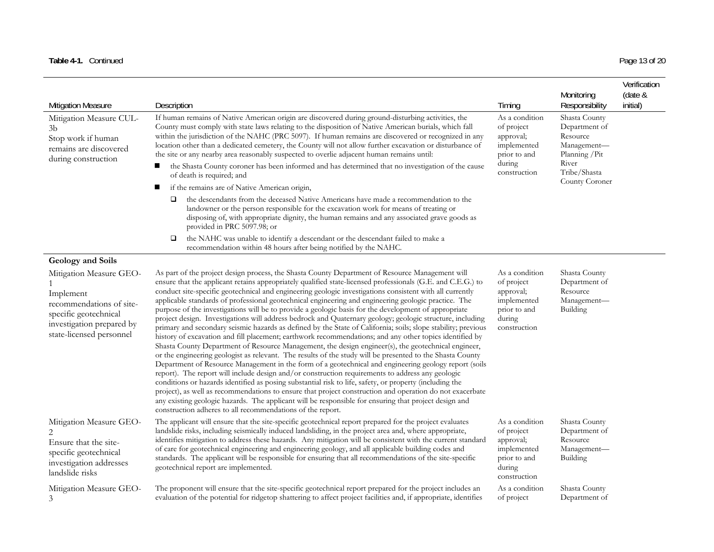### Table 4-1. Continued Page 13 of 20

| <b>Mitigation Measure</b><br>Mitigation Measure CUL-<br>3b<br>Stop work if human<br>remains are discovered<br>during construction                        | Description<br>If human remains of Native American origin are discovered during ground-disturbing activities, the<br>County must comply with state laws relating to the disposition of Native American burials, which fall<br>within the jurisdiction of the NAHC (PRC 5097). If human remains are discovered or recognized in any<br>location other than a dedicated cemetery, the County will not allow further excavation or disturbance of<br>the site or any nearby area reasonably suspected to overlie adjacent human remains until:<br>the Shasta County coroner has been informed and has determined that no investigation of the cause<br>ш<br>of death is required; and<br>п<br>if the remains are of Native American origin,<br>the descendants from the deceased Native Americans have made a recommendation to the<br>□<br>landowner or the person responsible for the excavation work for means of treating or<br>disposing of, with appropriate dignity, the human remains and any associated grave goods as<br>provided in PRC 5097.98; or<br>the NAHC was unable to identify a descendant or the descendant failed to make a<br>□<br>recommendation within 48 hours after being notified by the NAHC.                                                                                                                                                                                                                                                                                                                                                                                                                                                                                            | Timing<br>As a condition<br>of project<br>approval;<br>implemented<br>prior to and<br>during<br>construction | Monitoring<br>Responsibility<br>Shasta County<br>Department of<br>Resource<br>Management-<br>Planning / Pit<br>River<br>Tribe/Shasta<br>County Coroner | Verification<br>(date &<br>initial) |
|----------------------------------------------------------------------------------------------------------------------------------------------------------|--------------------------------------------------------------------------------------------------------------------------------------------------------------------------------------------------------------------------------------------------------------------------------------------------------------------------------------------------------------------------------------------------------------------------------------------------------------------------------------------------------------------------------------------------------------------------------------------------------------------------------------------------------------------------------------------------------------------------------------------------------------------------------------------------------------------------------------------------------------------------------------------------------------------------------------------------------------------------------------------------------------------------------------------------------------------------------------------------------------------------------------------------------------------------------------------------------------------------------------------------------------------------------------------------------------------------------------------------------------------------------------------------------------------------------------------------------------------------------------------------------------------------------------------------------------------------------------------------------------------------------------------------------------------------------------------------------------------|--------------------------------------------------------------------------------------------------------------|--------------------------------------------------------------------------------------------------------------------------------------------------------|-------------------------------------|
| Geology and Soils                                                                                                                                        |                                                                                                                                                                                                                                                                                                                                                                                                                                                                                                                                                                                                                                                                                                                                                                                                                                                                                                                                                                                                                                                                                                                                                                                                                                                                                                                                                                                                                                                                                                                                                                                                                                                                                                                    |                                                                                                              |                                                                                                                                                        |                                     |
| Mitigation Measure GEO-<br>Implement<br>recommendations of site-<br>specific geotechnical<br>investigation prepared by<br>state-licensed personnel       | As part of the project design process, the Shasta County Department of Resource Management will<br>ensure that the applicant retains appropriately qualified state-licensed professionals (G.E. and C.E.G.) to<br>conduct site-specific geotechnical and engineering geologic investigations consistent with all currently<br>applicable standards of professional geotechnical engineering and engineering geologic practice. The<br>purpose of the investigations will be to provide a geologic basis for the development of appropriate<br>project design. Investigations will address bedrock and Quaternary geology; geologic structure, including<br>primary and secondary seismic hazards as defined by the State of California; soils; slope stability; previous<br>history of excavation and fill placement; earthwork recommendations; and any other topics identified by<br>Shasta County Department of Resource Management, the design engineer(s), the geotechnical engineer,<br>or the engineering geologist as relevant. The results of the study will be presented to the Shasta County<br>Department of Resource Management in the form of a geotechnical and engineering geology report (soils<br>report). The report will include design and/or construction requirements to address any geologic<br>conditions or hazards identified as posing substantial risk to life, safety, or property (including the<br>project), as well as recommendations to ensure that project construction and operation do not exacerbate<br>any existing geologic hazards. The applicant will be responsible for ensuring that project design and<br>construction adheres to all recommendations of the report. | As a condition<br>of project<br>approval;<br>implemented<br>prior to and<br>during<br>construction           | Shasta County<br>Department of<br>Resource<br>Management-<br>Building                                                                                  |                                     |
| Mitigation Measure GEO-<br>$\mathfrak{D}_{\mathfrak{p}}$<br>Ensure that the site-<br>specific geotechnical<br>investigation addresses<br>landslide risks | The applicant will ensure that the site-specific geotechnical report prepared for the project evaluates<br>landslide risks, including seismically induced landsliding, in the project area and, where appropriate,<br>identifies mitigation to address these hazards. Any mitigation will be consistent with the current standard<br>of care for geotechnical engineering and engineering geology, and all applicable building codes and<br>standards. The applicant will be responsible for ensuring that all recommendations of the site-specific<br>geotechnical report are implemented.                                                                                                                                                                                                                                                                                                                                                                                                                                                                                                                                                                                                                                                                                                                                                                                                                                                                                                                                                                                                                                                                                                                        | As a condition<br>of project<br>approval;<br>implemented<br>prior to and<br>during<br>construction           | Shasta County<br>Department of<br>Resource<br>Management-<br>Building                                                                                  |                                     |
| Mitigation Measure GEO-<br>3                                                                                                                             | The proponent will ensure that the site-specific geotechnical report prepared for the project includes an<br>evaluation of the potential for ridgetop shattering to affect project facilities and, if appropriate, identifies                                                                                                                                                                                                                                                                                                                                                                                                                                                                                                                                                                                                                                                                                                                                                                                                                                                                                                                                                                                                                                                                                                                                                                                                                                                                                                                                                                                                                                                                                      | As a condition<br>of project                                                                                 | Shasta County<br>Department of                                                                                                                         |                                     |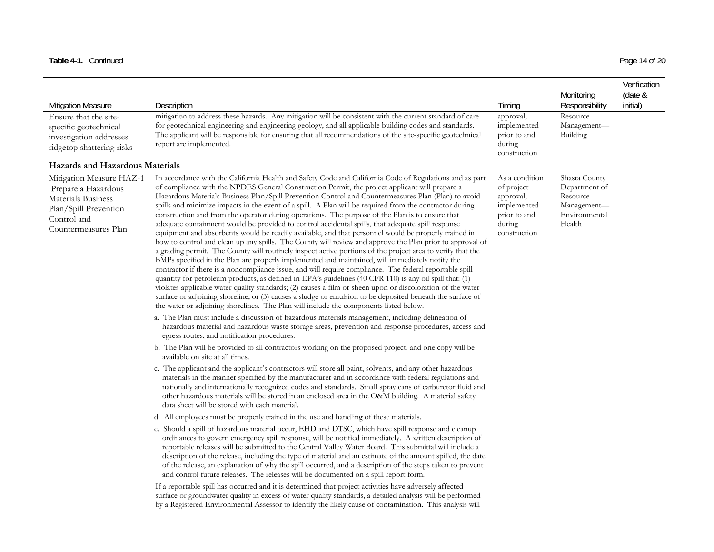| <b>Mitigation Measure</b>                                                                                                             | Description                                                                                                                                                                                                                                                                                                                                                                                                                                                                                                                                                                                                                                                                                                                                                                                                                                                                                                                                                                                                                                                                                                                                                                                                                                                                                                                                                                                                                                                                                                                                                                                                        | Timing                                                                                             | Monitoring<br>Responsibility                                                         | Verification<br>(date &<br>initial) |
|---------------------------------------------------------------------------------------------------------------------------------------|--------------------------------------------------------------------------------------------------------------------------------------------------------------------------------------------------------------------------------------------------------------------------------------------------------------------------------------------------------------------------------------------------------------------------------------------------------------------------------------------------------------------------------------------------------------------------------------------------------------------------------------------------------------------------------------------------------------------------------------------------------------------------------------------------------------------------------------------------------------------------------------------------------------------------------------------------------------------------------------------------------------------------------------------------------------------------------------------------------------------------------------------------------------------------------------------------------------------------------------------------------------------------------------------------------------------------------------------------------------------------------------------------------------------------------------------------------------------------------------------------------------------------------------------------------------------------------------------------------------------|----------------------------------------------------------------------------------------------------|--------------------------------------------------------------------------------------|-------------------------------------|
| Ensure that the site-<br>specific geotechnical<br>investigation addresses<br>ridgetop shattering risks                                | mitigation to address these hazards. Any mitigation will be consistent with the current standard of care<br>for geotechnical engineering and engineering geology, and all applicable building codes and standards.<br>The applicant will be responsible for ensuring that all recommendations of the site-specific geotechnical<br>report are implemented.                                                                                                                                                                                                                                                                                                                                                                                                                                                                                                                                                                                                                                                                                                                                                                                                                                                                                                                                                                                                                                                                                                                                                                                                                                                         | approval;<br>implemented<br>prior to and<br>during<br>construction                                 | Resource<br>Management-<br>Building                                                  |                                     |
| Hazards and Hazardous Materials                                                                                                       |                                                                                                                                                                                                                                                                                                                                                                                                                                                                                                                                                                                                                                                                                                                                                                                                                                                                                                                                                                                                                                                                                                                                                                                                                                                                                                                                                                                                                                                                                                                                                                                                                    |                                                                                                    |                                                                                      |                                     |
| Mitigation Measure HAZ-1<br>Prepare a Hazardous<br>Materials Business<br>Plan/Spill Prevention<br>Control and<br>Countermeasures Plan | In accordance with the California Health and Safety Code and California Code of Regulations and as part<br>of compliance with the NPDES General Construction Permit, the project applicant will prepare a<br>Hazardous Materials Business Plan/Spill Prevention Control and Countermeasures Plan (Plan) to avoid<br>spills and minimize impacts in the event of a spill. A Plan will be required from the contractor during<br>construction and from the operator during operations. The purpose of the Plan is to ensure that<br>adequate containment would be provided to control accidental spills, that adequate spill response<br>equipment and absorbents would be readily available, and that personnel would be properly trained in<br>how to control and clean up any spills. The County will review and approve the Plan prior to approval of<br>a grading permit. The County will routinely inspect active portions of the project area to verify that the<br>BMPs specified in the Plan are properly implemented and maintained, will immediately notify the<br>contractor if there is a noncompliance issue, and will require compliance. The federal reportable spill<br>quantity for petroleum products, as defined in EPA's guidelines (40 CFR 110) is any oil spill that: (1)<br>violates applicable water quality standards; (2) causes a film or sheen upon or discoloration of the water<br>surface or adjoining shoreline; or (3) causes a sludge or emulsion to be deposited beneath the surface of<br>the water or adjoining shorelines. The Plan will include the components listed below. | As a condition<br>of project<br>approval;<br>implemented<br>prior to and<br>during<br>construction | Shasta County<br>Department of<br>Resource<br>Management-<br>Environmental<br>Health |                                     |
|                                                                                                                                       | a. The Plan must include a discussion of hazardous materials management, including delineation of<br>hazardous material and hazardous waste storage areas, prevention and response procedures, access and<br>egress routes, and notification procedures.                                                                                                                                                                                                                                                                                                                                                                                                                                                                                                                                                                                                                                                                                                                                                                                                                                                                                                                                                                                                                                                                                                                                                                                                                                                                                                                                                           |                                                                                                    |                                                                                      |                                     |
|                                                                                                                                       | b. The Plan will be provided to all contractors working on the proposed project, and one copy will be<br>available on site at all times.                                                                                                                                                                                                                                                                                                                                                                                                                                                                                                                                                                                                                                                                                                                                                                                                                                                                                                                                                                                                                                                                                                                                                                                                                                                                                                                                                                                                                                                                           |                                                                                                    |                                                                                      |                                     |
|                                                                                                                                       | c. The applicant and the applicant's contractors will store all paint, solvents, and any other hazardous<br>materials in the manner specified by the manufacturer and in accordance with federal regulations and<br>nationally and internationally recognized codes and standards. Small spray cans of carburetor fluid and<br>other hazardous materials will be stored in an enclosed area in the O&M building. A material safety<br>data sheet will be stored with each material.                                                                                                                                                                                                                                                                                                                                                                                                                                                                                                                                                                                                                                                                                                                                                                                                                                                                                                                                                                                                                                                                                                                                |                                                                                                    |                                                                                      |                                     |
|                                                                                                                                       | d. All employees must be properly trained in the use and handling of these materials.                                                                                                                                                                                                                                                                                                                                                                                                                                                                                                                                                                                                                                                                                                                                                                                                                                                                                                                                                                                                                                                                                                                                                                                                                                                                                                                                                                                                                                                                                                                              |                                                                                                    |                                                                                      |                                     |
|                                                                                                                                       | e. Should a spill of hazardous material occur, EHD and DTSC, which have spill response and cleanup<br>ordinances to govern emergency spill response, will be notified immediately. A written description of<br>reportable releases will be submitted to the Central Valley Water Board. This submittal will include a<br>description of the release, including the type of material and an estimate of the amount spilled, the date<br>of the release, an explanation of why the spill occurred, and a description of the steps taken to prevent<br>and control future releases. The releases will be documented on a spill report form.                                                                                                                                                                                                                                                                                                                                                                                                                                                                                                                                                                                                                                                                                                                                                                                                                                                                                                                                                                           |                                                                                                    |                                                                                      |                                     |
|                                                                                                                                       | If a reportable spill has occurred and it is determined that project activities have adversely affected<br>surface or groundwater quality in excess of water quality standards, a detailed analysis will be performed<br>by a Registered Environmental Assessor to identify the likely cause of contamination. This analysis will                                                                                                                                                                                                                                                                                                                                                                                                                                                                                                                                                                                                                                                                                                                                                                                                                                                                                                                                                                                                                                                                                                                                                                                                                                                                                  |                                                                                                    |                                                                                      |                                     |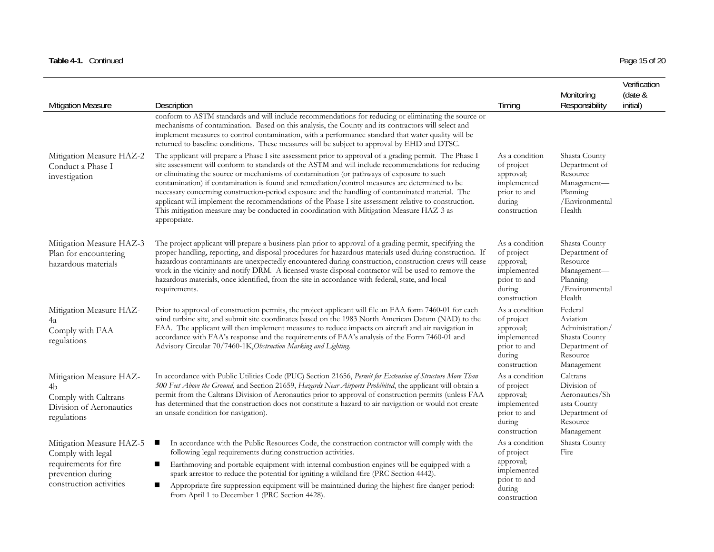### Table 4-1. Continued Page 15 of 20

| <b>Mitigation Measure</b>                                                                                              | Description                                                                                                                                                                                                                                                                                                                                                                                                                                                                                                                                                                                                                                                                                                                             | Timing                                                                                             | Monitoring<br>Responsibility                                                                        | Verification<br>(date &<br>initial) |
|------------------------------------------------------------------------------------------------------------------------|-----------------------------------------------------------------------------------------------------------------------------------------------------------------------------------------------------------------------------------------------------------------------------------------------------------------------------------------------------------------------------------------------------------------------------------------------------------------------------------------------------------------------------------------------------------------------------------------------------------------------------------------------------------------------------------------------------------------------------------------|----------------------------------------------------------------------------------------------------|-----------------------------------------------------------------------------------------------------|-------------------------------------|
|                                                                                                                        | conform to ASTM standards and will include recommendations for reducing or eliminating the source or<br>mechanisms of contamination. Based on this analysis, the County and its contractors will select and<br>implement measures to control contamination, with a performance standard that water quality will be<br>returned to baseline conditions. These measures will be subject to approval by EHD and DTSC.                                                                                                                                                                                                                                                                                                                      |                                                                                                    |                                                                                                     |                                     |
| Mitigation Measure HAZ-2<br>Conduct a Phase I<br>investigation                                                         | The applicant will prepare a Phase I site assessment prior to approval of a grading permit. The Phase I<br>site assessment will conform to standards of the ASTM and will include recommendations for reducing<br>or eliminating the source or mechanisms of contamination (or pathways of exposure to such<br>contamination) if contamination is found and remediation/control measures are determined to be<br>necessary concerning construction-period exposure and the handling of contaminated material. The<br>applicant will implement the recommendations of the Phase I site assessment relative to construction.<br>This mitigation measure may be conducted in coordination with Mitigation Measure HAZ-3 as<br>appropriate. | As a condition<br>of project<br>approval;<br>implemented<br>prior to and<br>during<br>construction | Shasta County<br>Department of<br>Resource<br>Management-<br>Planning<br>/Environmental<br>Health   |                                     |
| Mitigation Measure HAZ-3<br>Plan for encountering<br>hazardous materials                                               | The project applicant will prepare a business plan prior to approval of a grading permit, specifying the<br>proper handling, reporting, and disposal procedures for hazardous materials used during construction. If<br>hazardous contaminants are unexpectedly encountered during construction, construction crews will cease<br>work in the vicinity and notify DRM. A licensed waste disposal contractor will be used to remove the<br>hazardous materials, once identified, from the site in accordance with federal, state, and local<br>requirements.                                                                                                                                                                             | As a condition<br>of project<br>approval;<br>implemented<br>prior to and<br>during<br>construction | Shasta County<br>Department of<br>Resource<br>Management-<br>Planning<br>/Environmental<br>Health   |                                     |
| Mitigation Measure HAZ-<br>4a<br>Comply with FAA<br>regulations                                                        | Prior to approval of construction permits, the project applicant will file an FAA form 7460-01 for each<br>wind turbine site, and submit site coordinates based on the 1983 North American Datum (NAD) to the<br>FAA. The applicant will then implement measures to reduce impacts on aircraft and air navigation in<br>accordance with FAA's response and the requirements of FAA's analysis of the Form 7460-01 and<br>Advisory Circular 70/7460-1K, Obstruction Marking and Lighting.                                                                                                                                                                                                                                                | As a condition<br>of project<br>approval;<br>implemented<br>prior to and<br>during<br>construction | Federal<br>Aviation<br>Administration/<br>Shasta County<br>Department of<br>Resource<br>Management  |                                     |
| Mitigation Measure HAZ-<br>4b<br>Comply with Caltrans<br>Division of Aeronautics<br>regulations                        | In accordance with Public Utilities Code (PUC) Section 21656, Permit for Extension of Structure More Than<br>500 Feet Above the Ground, and Section 21659, Hazards Near Airports Prohibited, the applicant will obtain a<br>permit from the Caltrans Division of Aeronautics prior to approval of construction permits (unless FAA<br>has determined that the construction does not constitute a hazard to air navigation or would not create<br>an unsafe condition for navigation).                                                                                                                                                                                                                                                   | As a condition<br>of project<br>approval;<br>implemented<br>prior to and<br>during<br>construction | Caltrans<br>Division of<br>Aeronautics/Sh<br>asta County<br>Department of<br>Resource<br>Management |                                     |
| Mitigation Measure HAZ-5<br>Comply with legal<br>requirements for fire<br>prevention during<br>construction activities | In accordance with the Public Resources Code, the construction contractor will comply with the<br>п<br>following legal requirements during construction activities.<br>Earthmoving and portable equipment with internal combustion engines will be equipped with a<br>spark arrestor to reduce the potential for igniting a wildland fire (PRC Section 4442).<br>Appropriate fire suppression equipment will be maintained during the highest fire danger period:<br>п<br>from April 1 to December 1 (PRC Section 4428).                                                                                                                                                                                                                | As a condition<br>of project<br>approval;<br>implemented<br>prior to and<br>during<br>construction | Shasta County<br>Fire                                                                               |                                     |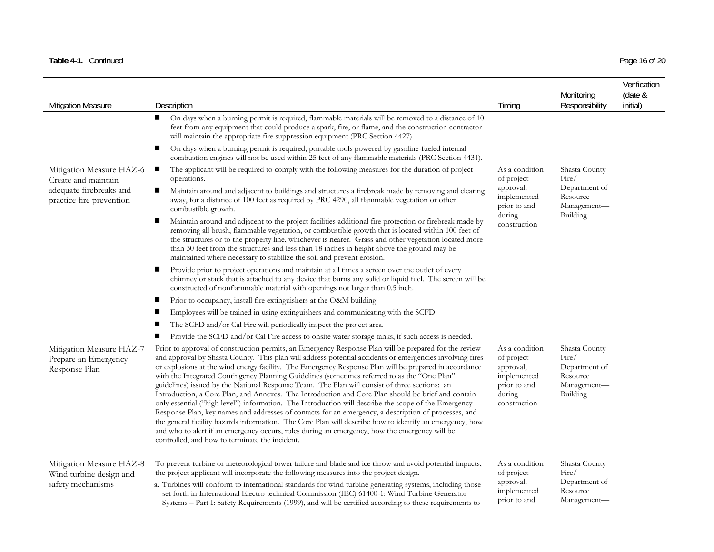### Table 4-1. Continued Page 16 of 20

| <b>Mitigation Measure</b>                                         | Description                                                                                                                                                                                                                                                                                                                                                                                                                                                                                                                                                                                                                                                                                                                                                                                                                                                                                                                                                                                                                                                                                                     | Timing                                                                                             | Monitoring<br>Responsibility                                                   | Verification<br>(date &<br>initial) |
|-------------------------------------------------------------------|-----------------------------------------------------------------------------------------------------------------------------------------------------------------------------------------------------------------------------------------------------------------------------------------------------------------------------------------------------------------------------------------------------------------------------------------------------------------------------------------------------------------------------------------------------------------------------------------------------------------------------------------------------------------------------------------------------------------------------------------------------------------------------------------------------------------------------------------------------------------------------------------------------------------------------------------------------------------------------------------------------------------------------------------------------------------------------------------------------------------|----------------------------------------------------------------------------------------------------|--------------------------------------------------------------------------------|-------------------------------------|
|                                                                   | On days when a burning permit is required, flammable materials will be removed to a distance of 10<br>п<br>feet from any equipment that could produce a spark, fire, or flame, and the construction contractor<br>will maintain the appropriate fire suppression equipment (PRC Section 4427).                                                                                                                                                                                                                                                                                                                                                                                                                                                                                                                                                                                                                                                                                                                                                                                                                  |                                                                                                    |                                                                                |                                     |
|                                                                   | ш<br>On days when a burning permit is required, portable tools powered by gasoline-fueled internal<br>combustion engines will not be used within 25 feet of any flammable materials (PRC Section 4431).                                                                                                                                                                                                                                                                                                                                                                                                                                                                                                                                                                                                                                                                                                                                                                                                                                                                                                         |                                                                                                    |                                                                                |                                     |
| Mitigation Measure HAZ-6<br>Create and maintain                   | The applicant will be required to comply with the following measures for the duration of project<br>п<br>operations.                                                                                                                                                                                                                                                                                                                                                                                                                                                                                                                                                                                                                                                                                                                                                                                                                                                                                                                                                                                            | As a condition<br>of project                                                                       | Shasta County<br>Fire/                                                         |                                     |
| adequate firebreaks and<br>practice fire prevention               | Maintain around and adjacent to buildings and structures a firebreak made by removing and clearing<br>ш<br>away, for a distance of 100 feet as required by PRC 4290, all flammable vegetation or other<br>combustible growth.                                                                                                                                                                                                                                                                                                                                                                                                                                                                                                                                                                                                                                                                                                                                                                                                                                                                                   | approval;<br>implemented<br>prior to and                                                           | Department of<br>Resource<br>Management-                                       |                                     |
|                                                                   | $\blacksquare$<br>Maintain around and adjacent to the project facilities additional fire protection or firebreak made by<br>removing all brush, flammable vegetation, or combustible growth that is located within 100 feet of<br>the structures or to the property line, whichever is nearer. Grass and other vegetation located more<br>than 30 feet from the structures and less than 18 inches in height above the ground may be<br>maintained where necessary to stabilize the soil and prevent erosion.                                                                                                                                                                                                                                                                                                                                                                                                                                                                                                                                                                                                   | during<br>construction                                                                             | Building                                                                       |                                     |
|                                                                   | Provide prior to project operations and maintain at all times a screen over the outlet of every<br>п<br>chimney or stack that is attached to any device that burns any solid or liquid fuel. The screen will be<br>constructed of nonflammable material with openings not larger than 0.5 inch.                                                                                                                                                                                                                                                                                                                                                                                                                                                                                                                                                                                                                                                                                                                                                                                                                 |                                                                                                    |                                                                                |                                     |
|                                                                   | Prior to occupancy, install fire extinguishers at the O&M building.<br>п                                                                                                                                                                                                                                                                                                                                                                                                                                                                                                                                                                                                                                                                                                                                                                                                                                                                                                                                                                                                                                        |                                                                                                    |                                                                                |                                     |
|                                                                   | Employees will be trained in using extinguishers and communicating with the SCFD.                                                                                                                                                                                                                                                                                                                                                                                                                                                                                                                                                                                                                                                                                                                                                                                                                                                                                                                                                                                                                               |                                                                                                    |                                                                                |                                     |
|                                                                   | The SCFD and/or Cal Fire will periodically inspect the project area.                                                                                                                                                                                                                                                                                                                                                                                                                                                                                                                                                                                                                                                                                                                                                                                                                                                                                                                                                                                                                                            |                                                                                                    |                                                                                |                                     |
|                                                                   | Provide the SCFD and/or Cal Fire access to onsite water storage tanks, if such access is needed.<br>ш                                                                                                                                                                                                                                                                                                                                                                                                                                                                                                                                                                                                                                                                                                                                                                                                                                                                                                                                                                                                           |                                                                                                    |                                                                                |                                     |
| Mitigation Measure HAZ-7<br>Prepare an Emergency<br>Response Plan | Prior to approval of construction permits, an Emergency Response Plan will be prepared for the review<br>and approval by Shasta County. This plan will address potential accidents or emergencies involving fires<br>or explosions at the wind energy facility. The Emergency Response Plan will be prepared in accordance<br>with the Integrated Contingency Planning Guidelines (sometimes referred to as the "One Plan"<br>guidelines) issued by the National Response Team. The Plan will consist of three sections: an<br>Introduction, a Core Plan, and Annexes. The Introduction and Core Plan should be brief and contain<br>only essential ("high level") information. The Introduction will describe the scope of the Emergency<br>Response Plan, key names and addresses of contacts for an emergency, a description of processes, and<br>the general facility hazards information. The Core Plan will describe how to identify an emergency, how<br>and who to alert if an emergency occurs, roles during an emergency, how the emergency will be<br>controlled, and how to terminate the incident. | As a condition<br>of project<br>approval;<br>implemented<br>prior to and<br>during<br>construction | Shasta County<br>Fire/<br>Department of<br>Resource<br>Management-<br>Building |                                     |
| Mitigation Measure HAZ-8<br>Wind turbine design and               | To prevent turbine or meteorological tower failure and blade and ice throw and avoid potential impacts,<br>the project applicant will incorporate the following measures into the project design.                                                                                                                                                                                                                                                                                                                                                                                                                                                                                                                                                                                                                                                                                                                                                                                                                                                                                                               | As a condition<br>of project                                                                       | Shasta County<br>Fire/<br>Department of                                        |                                     |
| safety mechanisms                                                 | a. Turbines will conform to international standards for wind turbine generating systems, including those<br>set forth in International Electro technical Commission (IEC) 61400-1: Wind Turbine Generator<br>Systems - Part I: Safety Requirements (1999), and will be certified according to these requirements to                                                                                                                                                                                                                                                                                                                                                                                                                                                                                                                                                                                                                                                                                                                                                                                             | approval;<br>implemented<br>prior to and                                                           | Resource<br>Management-                                                        |                                     |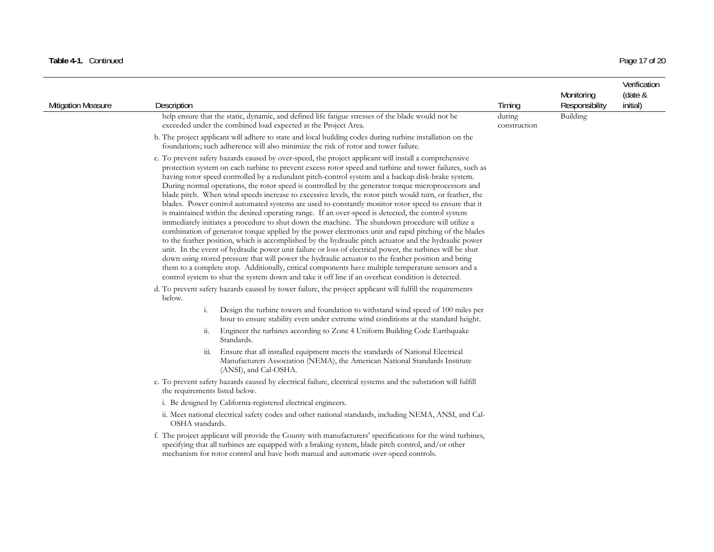### Table 4-1. Continued Page 17 of 20

| <b>Mitigation Measure</b> | Description                    |                                                                                                                                                                                                                                                                                                                                                                                                                                                                                                                                                                                                                                                                                                                                                                                                                                                                                                                                                                                                                                                                                                                                                                                                                                                                                                                                                                                                                                                                                                                                                                                                                            | Timing                 | Monitoring<br>Responsibility | Verification<br>(date &<br>initial) |
|---------------------------|--------------------------------|----------------------------------------------------------------------------------------------------------------------------------------------------------------------------------------------------------------------------------------------------------------------------------------------------------------------------------------------------------------------------------------------------------------------------------------------------------------------------------------------------------------------------------------------------------------------------------------------------------------------------------------------------------------------------------------------------------------------------------------------------------------------------------------------------------------------------------------------------------------------------------------------------------------------------------------------------------------------------------------------------------------------------------------------------------------------------------------------------------------------------------------------------------------------------------------------------------------------------------------------------------------------------------------------------------------------------------------------------------------------------------------------------------------------------------------------------------------------------------------------------------------------------------------------------------------------------------------------------------------------------|------------------------|------------------------------|-------------------------------------|
|                           |                                | help ensure that the static, dynamic, and defined life fatigue stresses of the blade would not be<br>exceeded under the combined load expected at the Project Area.                                                                                                                                                                                                                                                                                                                                                                                                                                                                                                                                                                                                                                                                                                                                                                                                                                                                                                                                                                                                                                                                                                                                                                                                                                                                                                                                                                                                                                                        | during<br>construction | Building                     |                                     |
|                           |                                | b. The project applicant will adhere to state and local building codes during turbine installation on the<br>foundations; such adherence will also minimize the risk of rotor and tower failure.                                                                                                                                                                                                                                                                                                                                                                                                                                                                                                                                                                                                                                                                                                                                                                                                                                                                                                                                                                                                                                                                                                                                                                                                                                                                                                                                                                                                                           |                        |                              |                                     |
|                           |                                | c. To prevent safety hazards caused by over-speed, the project applicant will install a comprehensive<br>protection system on each turbine to prevent excess rotor speed and turbine and tower failures, such as<br>having rotor speed controlled by a redundant pitch-control system and a backup disk-brake system.<br>During normal operations, the rotor speed is controlled by the generator torque microprocessors and<br>blade pitch. When wind speeds increase to excessive levels, the rotor pitch would turn, or feather, the<br>blades. Power control automated systems are used to constantly monitor rotor speed to ensure that it<br>is maintained within the desired operating range. If an over-speed is detected, the control system<br>immediately initiates a procedure to shut down the machine. The shutdown procedure will utilize a<br>combination of generator torque applied by the power electronics unit and rapid pitching of the blades<br>to the feather position, which is accomplished by the hydraulic pitch actuator and the hydraulic power<br>unit. In the event of hydraulic power unit failure or loss of electrical power, the turbines will be shut<br>down using stored pressure that will power the hydraulic actuator to the feather position and bring<br>them to a complete stop. Additionally, critical components have multiple temperature sensors and a<br>control system to shut the system down and take it off line if an overheat condition is detected.<br>d. To prevent safety hazards caused by tower failure, the project applicant will fulfill the requirements |                        |                              |                                     |
|                           | below.<br>i.                   | Design the turbine towers and foundation to withstand wind speed of 100 miles per                                                                                                                                                                                                                                                                                                                                                                                                                                                                                                                                                                                                                                                                                                                                                                                                                                                                                                                                                                                                                                                                                                                                                                                                                                                                                                                                                                                                                                                                                                                                          |                        |                              |                                     |
|                           | ii.                            | hour to ensure stability even under extreme wind conditions at the standard height.<br>Engineer the turbines according to Zone 4 Uniform Building Code Earthquake<br>Standards.                                                                                                                                                                                                                                                                                                                                                                                                                                                                                                                                                                                                                                                                                                                                                                                                                                                                                                                                                                                                                                                                                                                                                                                                                                                                                                                                                                                                                                            |                        |                              |                                     |
|                           | $\overline{111}$ .             | Ensure that all installed equipment meets the standards of National Electrical<br>Manufacturers Association (NEMA), the American National Standards Institute<br>(ANSI), and Cal-OSHA.                                                                                                                                                                                                                                                                                                                                                                                                                                                                                                                                                                                                                                                                                                                                                                                                                                                                                                                                                                                                                                                                                                                                                                                                                                                                                                                                                                                                                                     |                        |                              |                                     |
|                           | the requirements listed below. | e. To prevent safety hazards caused by electrical failure, electrical systems and the substation will fulfill                                                                                                                                                                                                                                                                                                                                                                                                                                                                                                                                                                                                                                                                                                                                                                                                                                                                                                                                                                                                                                                                                                                                                                                                                                                                                                                                                                                                                                                                                                              |                        |                              |                                     |
|                           |                                | i. Be designed by California-registered electrical engineers.                                                                                                                                                                                                                                                                                                                                                                                                                                                                                                                                                                                                                                                                                                                                                                                                                                                                                                                                                                                                                                                                                                                                                                                                                                                                                                                                                                                                                                                                                                                                                              |                        |                              |                                     |
|                           | OSHA standards.                | ii. Meet national electrical safety codes and other national standards, including NEMA, ANSI, and Cal-                                                                                                                                                                                                                                                                                                                                                                                                                                                                                                                                                                                                                                                                                                                                                                                                                                                                                                                                                                                                                                                                                                                                                                                                                                                                                                                                                                                                                                                                                                                     |                        |                              |                                     |
|                           |                                | f. The project applicant will provide the County with manufacturers' specifications for the wind turbines,<br>specifying that all turbines are equipped with a braking system, blade pitch control, and/or other<br>mechanism for rotor control and have both manual and automatic over-speed controls.                                                                                                                                                                                                                                                                                                                                                                                                                                                                                                                                                                                                                                                                                                                                                                                                                                                                                                                                                                                                                                                                                                                                                                                                                                                                                                                    |                        |                              |                                     |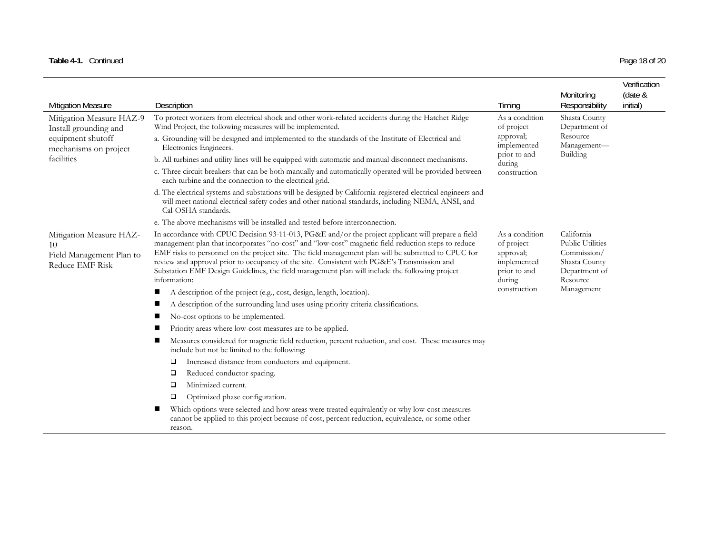### Table 4-1. Continued Page 18 of 20

| <b>Mitigation Measure</b>                                                           | Description                                                                                                                                                                                                                                                                                                                                                                                                                                                                                                                                                                                                             | Timing                       | Monitoring<br>Responsibility                                                                       | Verification<br>(date &<br>initial) |
|-------------------------------------------------------------------------------------|-------------------------------------------------------------------------------------------------------------------------------------------------------------------------------------------------------------------------------------------------------------------------------------------------------------------------------------------------------------------------------------------------------------------------------------------------------------------------------------------------------------------------------------------------------------------------------------------------------------------------|------------------------------|----------------------------------------------------------------------------------------------------|-------------------------------------|
| Mitigation Measure HAZ-9<br>Install grounding and                                   | To protect workers from electrical shock and other work-related accidents during the Hatchet Ridge<br>Wind Project, the following measures will be implemented.                                                                                                                                                                                                                                                                                                                                                                                                                                                         | As a condition<br>of project | Shasta County<br>Department of                                                                     |                                     |
| equipment shutoff<br>mechanisms on project                                          | a. Grounding will be designed and implemented to the standards of the Institute of Electrical and<br>Electronics Engineers.                                                                                                                                                                                                                                                                                                                                                                                                                                                                                             | approval;<br>implemented     | Resource<br>Management-                                                                            |                                     |
| facilities                                                                          | b. All turbines and utility lines will be equipped with automatic and manual disconnect mechanisms.                                                                                                                                                                                                                                                                                                                                                                                                                                                                                                                     | prior to and<br>during       | Building                                                                                           |                                     |
|                                                                                     | c. Three circuit breakers that can be both manually and automatically operated will be provided between<br>each turbine and the connection to the electrical grid.                                                                                                                                                                                                                                                                                                                                                                                                                                                      | construction                 |                                                                                                    |                                     |
|                                                                                     | d. The electrical systems and substations will be designed by California-registered electrical engineers and<br>will meet national electrical safety codes and other national standards, including NEMA, ANSI, and<br>Cal-OSHA standards.                                                                                                                                                                                                                                                                                                                                                                               |                              |                                                                                                    |                                     |
|                                                                                     | e. The above mechanisms will be installed and tested before interconnection.                                                                                                                                                                                                                                                                                                                                                                                                                                                                                                                                            |                              |                                                                                                    |                                     |
| Mitigation Measure HAZ-<br>10<br>Field Management Plan to<br><b>Reduce EMF Risk</b> | In accordance with CPUC Decision 93-11-013, PG&E and/or the project applicant will prepare a field<br>As a condition<br>management plan that incorporates "no-cost" and "low-cost" magnetic field reduction steps to reduce<br>of project<br>EMF risks to personnel on the project site. The field management plan will be submitted to CPUC for<br>approval;<br>review and approval prior to occupancy of the site. Consistent with PG&E's Transmission and<br>implemented<br>Substation EMF Design Guidelines, the field management plan will include the following project<br>prior to and<br>during<br>information: |                              | California<br><b>Public Utilities</b><br>Commission/<br>Shasta County<br>Department of<br>Resource |                                     |
|                                                                                     | A description of the project (e.g., cost, design, length, location).<br>ш                                                                                                                                                                                                                                                                                                                                                                                                                                                                                                                                               | construction                 | Management                                                                                         |                                     |
|                                                                                     | A description of the surrounding land uses using priority criteria classifications.                                                                                                                                                                                                                                                                                                                                                                                                                                                                                                                                     |                              |                                                                                                    |                                     |
|                                                                                     | No-cost options to be implemented.                                                                                                                                                                                                                                                                                                                                                                                                                                                                                                                                                                                      |                              |                                                                                                    |                                     |
|                                                                                     | Priority areas where low-cost measures are to be applied.                                                                                                                                                                                                                                                                                                                                                                                                                                                                                                                                                               |                              |                                                                                                    |                                     |
|                                                                                     | Measures considered for magnetic field reduction, percent reduction, and cost. These measures may<br>include but not be limited to the following:                                                                                                                                                                                                                                                                                                                                                                                                                                                                       |                              |                                                                                                    |                                     |
|                                                                                     | Increased distance from conductors and equipment.<br>□                                                                                                                                                                                                                                                                                                                                                                                                                                                                                                                                                                  |                              |                                                                                                    |                                     |
|                                                                                     | Reduced conductor spacing.<br>❏                                                                                                                                                                                                                                                                                                                                                                                                                                                                                                                                                                                         |                              |                                                                                                    |                                     |
|                                                                                     | Minimized current.<br>□                                                                                                                                                                                                                                                                                                                                                                                                                                                                                                                                                                                                 |                              |                                                                                                    |                                     |
|                                                                                     | Optimized phase configuration.<br>□                                                                                                                                                                                                                                                                                                                                                                                                                                                                                                                                                                                     |                              |                                                                                                    |                                     |
|                                                                                     | Which options were selected and how areas were treated equivalently or why low-cost measures<br>cannot be applied to this project because of cost, percent reduction, equivalence, or some other<br>reason.                                                                                                                                                                                                                                                                                                                                                                                                             |                              |                                                                                                    |                                     |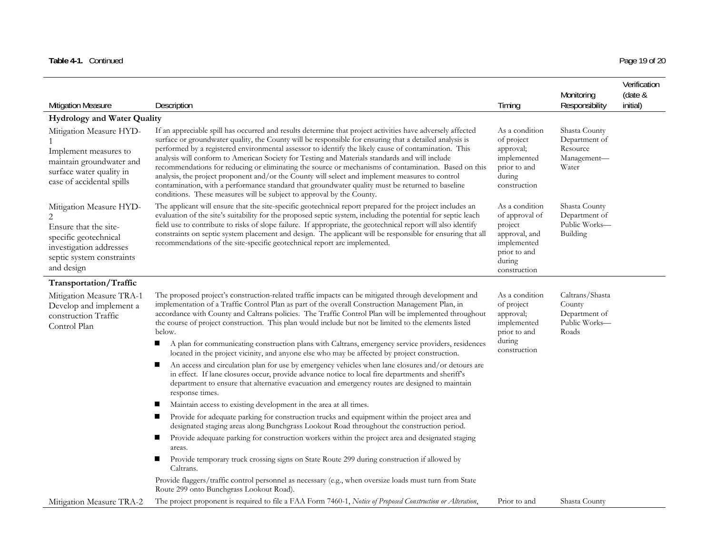|  | Page 19 of 20 |
|--|---------------|

|                                                                                                                                                 |                                                                                                                                                                                                                                                                                                                                                                                                                                                                                                                                                                                                                                                                                                                                                                                                                         |                                                                                                                       | Monitoring                                                           | Verification<br>(date & |
|-------------------------------------------------------------------------------------------------------------------------------------------------|-------------------------------------------------------------------------------------------------------------------------------------------------------------------------------------------------------------------------------------------------------------------------------------------------------------------------------------------------------------------------------------------------------------------------------------------------------------------------------------------------------------------------------------------------------------------------------------------------------------------------------------------------------------------------------------------------------------------------------------------------------------------------------------------------------------------------|-----------------------------------------------------------------------------------------------------------------------|----------------------------------------------------------------------|-------------------------|
| <b>Mitigation Measure</b>                                                                                                                       | Description                                                                                                                                                                                                                                                                                                                                                                                                                                                                                                                                                                                                                                                                                                                                                                                                             | Timing                                                                                                                | Responsibility                                                       | initial)                |
| <b>Hydrology and Water Quality</b>                                                                                                              |                                                                                                                                                                                                                                                                                                                                                                                                                                                                                                                                                                                                                                                                                                                                                                                                                         |                                                                                                                       |                                                                      |                         |
| Mitigation Measure HYD-<br>Implement measures to<br>maintain groundwater and<br>surface water quality in<br>case of accidental spills           | If an appreciable spill has occurred and results determine that project activities have adversely affected<br>surface or groundwater quality, the County will be responsible for ensuring that a detailed analysis is<br>performed by a registered environmental assessor to identify the likely cause of contamination. This<br>analysis will conform to American Society for Testing and Materials standards and will include<br>recommendations for reducing or eliminating the source or mechanisms of contamination. Based on this<br>analysis, the project proponent and/or the County will select and implement measures to control<br>contamination, with a performance standard that groundwater quality must be returned to baseline<br>conditions. These measures will be subject to approval by the County. | As a condition<br>of project<br>approval;<br>implemented<br>prior to and<br>during<br>construction                    | Shasta County<br>Department of<br>Resource<br>Management-<br>Water   |                         |
| Mitigation Measure HYD-<br>Ensure that the site-<br>specific geotechnical<br>investigation addresses<br>septic system constraints<br>and design | The applicant will ensure that the site-specific geotechnical report prepared for the project includes an<br>evaluation of the site's suitability for the proposed septic system, including the potential for septic leach<br>field use to contribute to risks of slope failure. If appropriate, the geotechnical report will also identify<br>constraints on septic system placement and design. The applicant will be responsible for ensuring that all<br>recommendations of the site-specific geotechnical report are implemented.                                                                                                                                                                                                                                                                                  | As a condition<br>of approval of<br>project<br>approval, and<br>implemented<br>prior to and<br>during<br>construction | Shasta County<br>Department of<br>Public Works-<br>Building          |                         |
| Transportation/Traffic                                                                                                                          |                                                                                                                                                                                                                                                                                                                                                                                                                                                                                                                                                                                                                                                                                                                                                                                                                         |                                                                                                                       |                                                                      |                         |
| Mitigation Measure TRA-1<br>Develop and implement a<br>construction Traffic<br>Control Plan                                                     | The proposed project's construction-related traffic impacts can be mitigated through development and<br>implementation of a Traffic Control Plan as part of the overall Construction Management Plan, in<br>accordance with County and Caltrans policies. The Traffic Control Plan will be implemented throughout<br>the course of project construction. This plan would include but not be limited to the elements listed<br>below.                                                                                                                                                                                                                                                                                                                                                                                    |                                                                                                                       | Caltrans/Shasta<br>County<br>Department of<br>Public Works-<br>Roads |                         |
|                                                                                                                                                 | A plan for communicating construction plans with Caltrans, emergency service providers, residences<br>ш<br>located in the project vicinity, and anyone else who may be affected by project construction.                                                                                                                                                                                                                                                                                                                                                                                                                                                                                                                                                                                                                | during<br>construction                                                                                                |                                                                      |                         |
|                                                                                                                                                 | An access and circulation plan for use by emergency vehicles when lane closures and/or detours are<br>п<br>in effect. If lane closures occur, provide advance notice to local fire departments and sheriff's<br>department to ensure that alternative evacuation and emergency routes are designed to maintain<br>response times.                                                                                                                                                                                                                                                                                                                                                                                                                                                                                       |                                                                                                                       |                                                                      |                         |
|                                                                                                                                                 | Maintain access to existing development in the area at all times.<br>■                                                                                                                                                                                                                                                                                                                                                                                                                                                                                                                                                                                                                                                                                                                                                  |                                                                                                                       |                                                                      |                         |
|                                                                                                                                                 | Provide for adequate parking for construction trucks and equipment within the project area and<br>п<br>designated staging areas along Bunchgrass Lookout Road throughout the construction period.                                                                                                                                                                                                                                                                                                                                                                                                                                                                                                                                                                                                                       |                                                                                                                       |                                                                      |                         |
|                                                                                                                                                 | Provide adequate parking for construction workers within the project area and designated staging<br>■<br>areas.                                                                                                                                                                                                                                                                                                                                                                                                                                                                                                                                                                                                                                                                                                         |                                                                                                                       |                                                                      |                         |
|                                                                                                                                                 | Provide temporary truck crossing signs on State Route 299 during construction if allowed by<br>■<br>Caltrans.                                                                                                                                                                                                                                                                                                                                                                                                                                                                                                                                                                                                                                                                                                           |                                                                                                                       |                                                                      |                         |
|                                                                                                                                                 | Provide flaggers/traffic control personnel as necessary (e.g., when oversize loads must turn from State<br>Route 299 onto Bunchgrass Lookout Road).                                                                                                                                                                                                                                                                                                                                                                                                                                                                                                                                                                                                                                                                     |                                                                                                                       |                                                                      |                         |
| Mitigation Measure TRA-2                                                                                                                        | The project proponent is required to file a FAA Form 7460-1, Notice of Proposed Construction or Alteration,                                                                                                                                                                                                                                                                                                                                                                                                                                                                                                                                                                                                                                                                                                             | Prior to and                                                                                                          | Shasta County                                                        |                         |